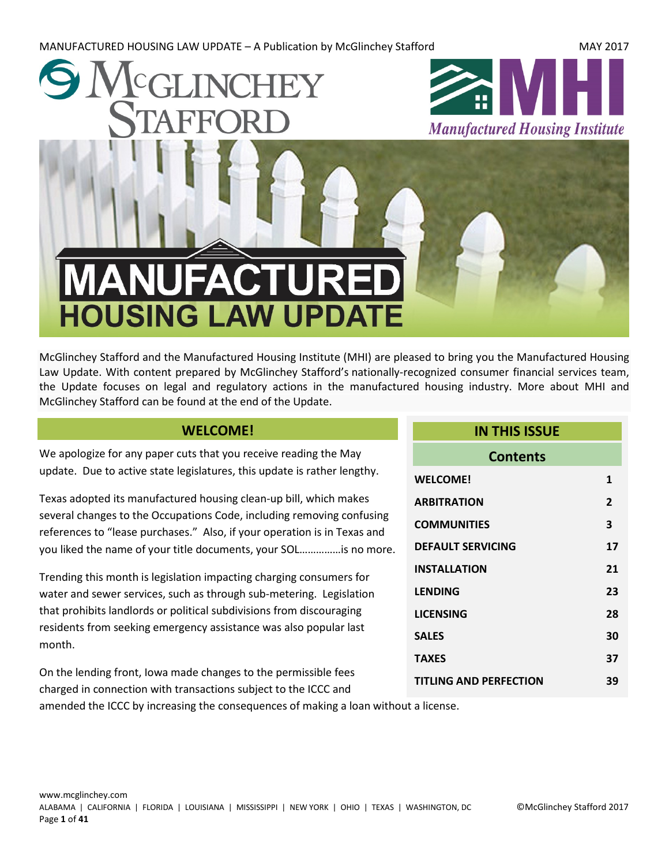MANUFACTURED HOUSING LAW UPDATE – A Publication by McGlinchey Stafford MAC 2017



McGlinchey Stafford and the Manufactured Housing Institute (MHI) are pleased to bring you the Manufactured Housing Law Update. With content prepared by McGlinchey Stafford's nationally-recognized consumer financial services team, the Update focuses on legal and regulatory actions in the manufactured housing industry. More about MHI and McGlinchey Stafford can be found at the end of the Update.

#### **WELCOME!**

<span id="page-0-0"></span>We apologize for any paper cuts that you receive reading the May update. Due to active state legislatures, this update is rather lengthy.

Texas adopted its manufactured housing clean-up bill, which makes several changes to the Occupations Code, including removing confusing references to "lease purchases." Also, if your operation is in Texas and you liked the name of your title documents, your SOL……………is no more.

Trending this month is legislation impacting charging consumers for water and sewer services, such as through sub-metering. Legislation that prohibits landlords or political subdivisions from discouraging residents from seeking emergency assistance was also popular last month.

On the lending front, Iowa made changes to the permissible fees charged in connection with transactions subject to the ICCC and

# **IN THIS ISSUE Contents [WELCOME!](#page-0-0) 1 [ARBITRATION](#page-1-0) 2 [COMMUNITIES](#page-2-0) 3 [DEFAULT SERVICING](#page-16-0) 17 [INSTALLATION](#page-20-0) 21 [LENDING](#page-22-0) 23 [LICENSING](#page-27-0) 28**

**[SALES](#page-29-0) 30 [TAXES](#page-36-0) 37 [TITLING AND PERFECTION](#page-38-0) 39**

amended the ICCC by increasing the consequences of making a loan without a license.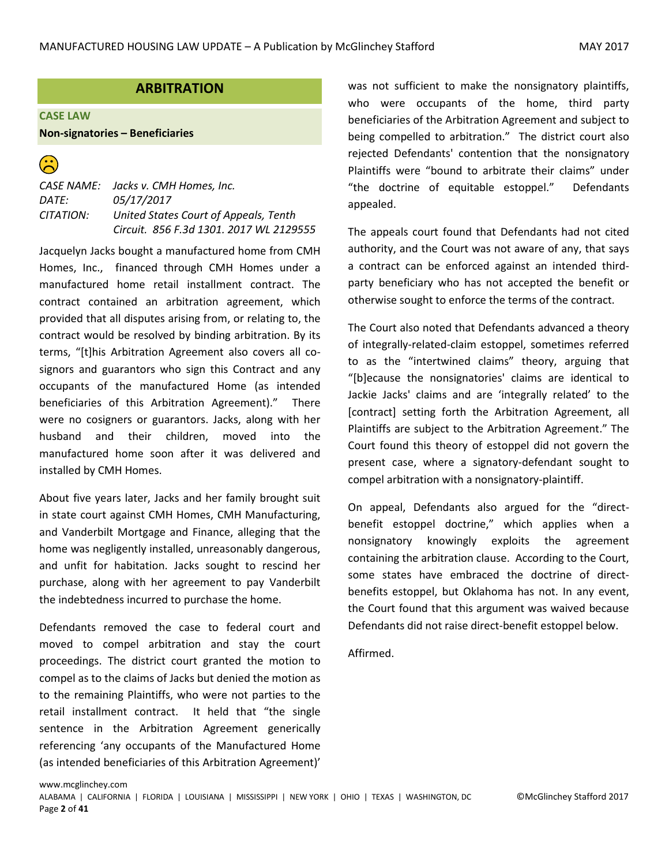### **ARBITRATION**

#### <span id="page-1-0"></span>**CASE LAW**

#### **Non-signatories – Beneficiaries**

 $\widehat{\mathbb{C}}$ 

*CASE NAME: Jacks v. CMH Homes, Inc. DATE: 05/17/2017 CITATION: United States Court of Appeals, Tenth Circuit. 856 F.3d 1301. 2017 WL 2129555*

Jacquelyn Jacks bought a manufactured home from CMH Homes, Inc., financed through CMH Homes under a manufactured home retail installment contract. The contract contained an arbitration agreement, which provided that all disputes arising from, or relating to, the contract would be resolved by binding arbitration. By its terms, "[t]his Arbitration Agreement also covers all cosignors and guarantors who sign this Contract and any occupants of the manufactured Home (as intended beneficiaries of this Arbitration Agreement)." There were no cosigners or guarantors. Jacks, along with her husband and their children, moved into the manufactured home soon after it was delivered and installed by CMH Homes.

About five years later, Jacks and her family brought suit in state court against CMH Homes, CMH Manufacturing, and Vanderbilt Mortgage and Finance, alleging that the home was negligently installed, unreasonably dangerous, and unfit for habitation. Jacks sought to rescind her purchase, along with her agreement to pay Vanderbilt the indebtedness incurred to purchase the home.

Defendants removed the case to federal court and moved to compel arbitration and stay the court proceedings. The district court granted the motion to compel as to the claims of Jacks but denied the motion as to the remaining Plaintiffs, who were not parties to the retail installment contract. It held that "the single sentence in the Arbitration Agreement generically referencing 'any occupants of the Manufactured Home (as intended beneficiaries of this Arbitration Agreement)'

was not sufficient to make the nonsignatory plaintiffs, who were occupants of the home, third party beneficiaries of the Arbitration Agreement and subject to being compelled to arbitration." The district court also rejected Defendants' contention that the nonsignatory Plaintiffs were "bound to arbitrate their claims" under "the doctrine of equitable estoppel." Defendants appealed.

The appeals court found that Defendants had not cited authority, and the Court was not aware of any, that says a contract can be enforced against an intended thirdparty beneficiary who has not accepted the benefit or otherwise sought to enforce the terms of the contract.

The Court also noted that Defendants advanced a theory of integrally-related-claim estoppel, sometimes referred to as the "intertwined claims" theory, arguing that "[b]ecause the nonsignatories' claims are identical to Jackie Jacks' claims and are 'integrally related' to the [contract] setting forth the Arbitration Agreement, all Plaintiffs are subject to the Arbitration Agreement." The Court found this theory of estoppel did not govern the present case, where a signatory-defendant sought to compel arbitration with a nonsignatory-plaintiff.

On appeal, Defendants also argued for the "directbenefit estoppel doctrine," which applies when a nonsignatory knowingly exploits the agreement containing the arbitration clause. According to the Court, some states have embraced the doctrine of directbenefits estoppel, but Oklahoma has not. In any event, the Court found that this argument was waived because Defendants did not raise direct-benefit estoppel below.

Affirmed.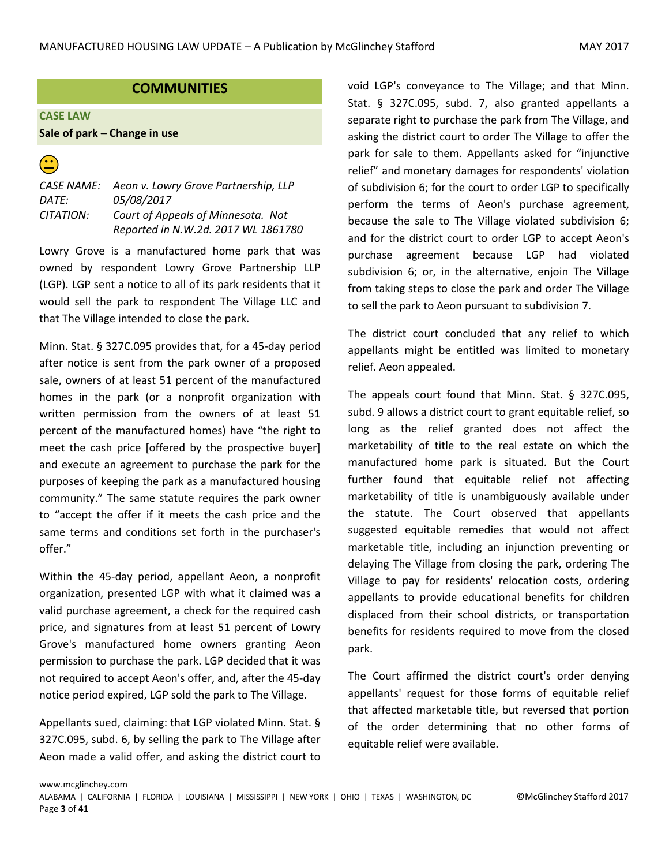### **COMMUNITIES**

<span id="page-2-0"></span>**CASE LAW**

#### **Sale of park – Change in use**

 $\widehat{\mathbf{C}}$ 

*CASE NAME: Aeon v. Lowry Grove Partnership, LLP DATE: 05/08/2017 CITATION: Court of Appeals of Minnesota. Not Reported in N.W.2d. 2017 WL 1861780*

Lowry Grove is a manufactured home park that was owned by respondent Lowry Grove Partnership LLP (LGP). LGP sent a notice to all of its park residents that it would sell the park to respondent The Village LLC and that The Village intended to close the park.

Minn. Stat. § 327C.095 provides that, for a 45-day period after notice is sent from the park owner of a proposed sale, owners of at least 51 percent of the manufactured homes in the park (or a nonprofit organization with written permission from the owners of at least 51 percent of the manufactured homes) have "the right to meet the cash price [offered by the prospective buyer] and execute an agreement to purchase the park for the purposes of keeping the park as a manufactured housing community." The same statute requires the park owner to "accept the offer if it meets the cash price and the same terms and conditions set forth in the purchaser's offer."

Within the 45-day period, appellant Aeon, a nonprofit organization, presented LGP with what it claimed was a valid purchase agreement, a check for the required cash price, and signatures from at least 51 percent of Lowry Grove's manufactured home owners granting Aeon permission to purchase the park. LGP decided that it was not required to accept Aeon's offer, and, after the 45-day notice period expired, LGP sold the park to The Village.

Appellants sued, claiming: that LGP violated Minn. Stat. § 327C.095, subd. 6, by selling the park to The Village after Aeon made a valid offer, and asking the district court to void LGP's conveyance to The Village; and that Minn. Stat. § 327C.095, subd. 7, also granted appellants a separate right to purchase the park from The Village, and asking the district court to order The Village to offer the park for sale to them. Appellants asked for "injunctive relief" and monetary damages for respondents' violation of subdivision 6; for the court to order LGP to specifically perform the terms of Aeon's purchase agreement, because the sale to The Village violated subdivision 6; and for the district court to order LGP to accept Aeon's purchase agreement because LGP had violated subdivision 6; or, in the alternative, enjoin The Village from taking steps to close the park and order The Village to sell the park to Aeon pursuant to subdivision 7.

The district court concluded that any relief to which appellants might be entitled was limited to monetary relief. Aeon appealed.

The appeals court found that Minn. Stat. § 327C.095, subd. 9 allows a district court to grant equitable relief, so long as the relief granted does not affect the marketability of title to the real estate on which the manufactured home park is situated. But the Court further found that equitable relief not affecting marketability of title is unambiguously available under the statute. The Court observed that appellants suggested equitable remedies that would not affect marketable title, including an injunction preventing or delaying The Village from closing the park, ordering The Village to pay for residents' relocation costs, ordering appellants to provide educational benefits for children displaced from their school districts, or transportation benefits for residents required to move from the closed park.

The Court affirmed the district court's order denying appellants' request for those forms of equitable relief that affected marketable title, but reversed that portion of the order determining that no other forms of equitable relief were available.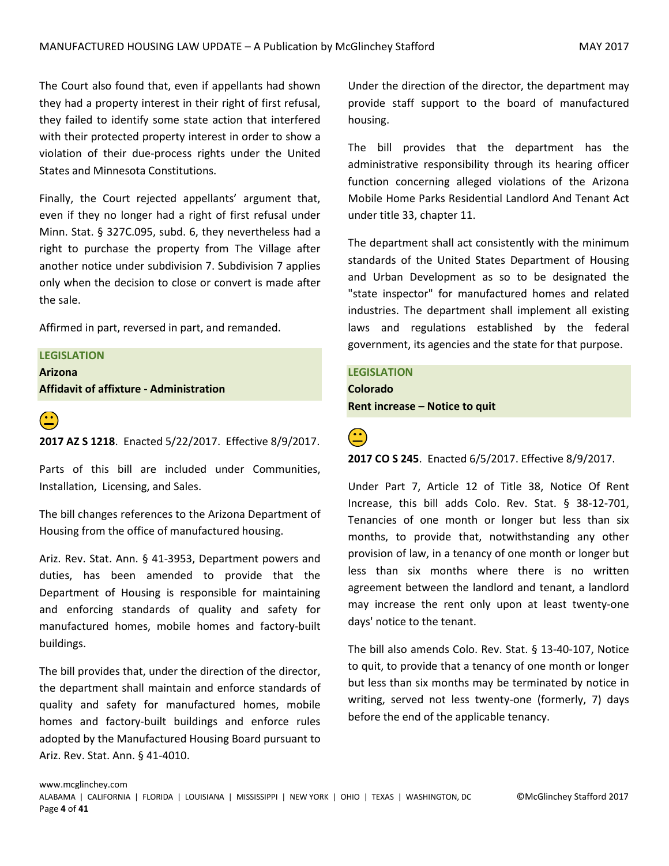The Court also found that, even if appellants had shown they had a property interest in their right of first refusal, they failed to identify some state action that interfered with their protected property interest in order to show a violation of their due-process rights under the United States and Minnesota Constitutions.

Finally, the Court rejected appellants' argument that, even if they no longer had a right of first refusal under Minn. Stat. § 327C.095, subd. 6, they nevertheless had a right to purchase the property from The Village after another notice under subdivision 7. Subdivision 7 applies only when the decision to close or convert is made after the sale.

Affirmed in part, reversed in part, and remanded.

### **LEGISLATION Arizona Affidavit of affixture - Administration**



 **2017 AZ S 1218**. Enacted 5/22/2017. Effective 8/9/2017.

Parts of this bill are included under Communities, Installation, Licensing, and Sales.

The bill changes references to the Arizona Department of Housing from the office of manufactured housing.

Ariz. Rev. Stat. Ann. § 41-3953, Department powers and duties, has been amended to provide that the Department of Housing is responsible for maintaining and enforcing standards of quality and safety for manufactured homes, mobile homes and factory-built buildings.

The bill provides that, under the direction of the director, the department shall maintain and enforce standards of quality and safety for manufactured homes, mobile homes and factory-built buildings and enforce rules adopted by the Manufactured Housing Board pursuant to Ariz. Rev. Stat. Ann. § 41-4010.

Under the direction of the director, the department may provide staff support to the board of manufactured housing.

The bill provides that the department has the administrative responsibility through its hearing officer function concerning alleged violations of the Arizona Mobile Home Parks Residential Landlord And Tenant Act under title 33, chapter 11.

The department shall act consistently with the minimum standards of the United States Department of Housing and Urban Development as so to be designated the "state inspector" for manufactured homes and related industries. The department shall implement all existing laws and regulations established by the federal government, its agencies and the state for that purpose.

**LEGISLATION Colorado Rent increase – Notice to quit**

 **2017 CO S 245**. Enacted 6/5/2017. Effective 8/9/2017.

Under Part 7, Article 12 of Title 38, Notice Of Rent Increase, this bill adds Colo. Rev. Stat. § 38-12-701, Tenancies of one month or longer but less than six months, to provide that, notwithstanding any other provision of law, in a tenancy of one month or longer but less than six months where there is no written agreement between the landlord and tenant, a landlord may increase the rent only upon at least twenty-one days' notice to the tenant.

The bill also amends Colo. Rev. Stat. § 13-40-107, Notice to quit, to provide that a tenancy of one month or longer but less than six months may be terminated by notice in writing, served not less twenty-one (formerly, 7) days before the end of the applicable tenancy.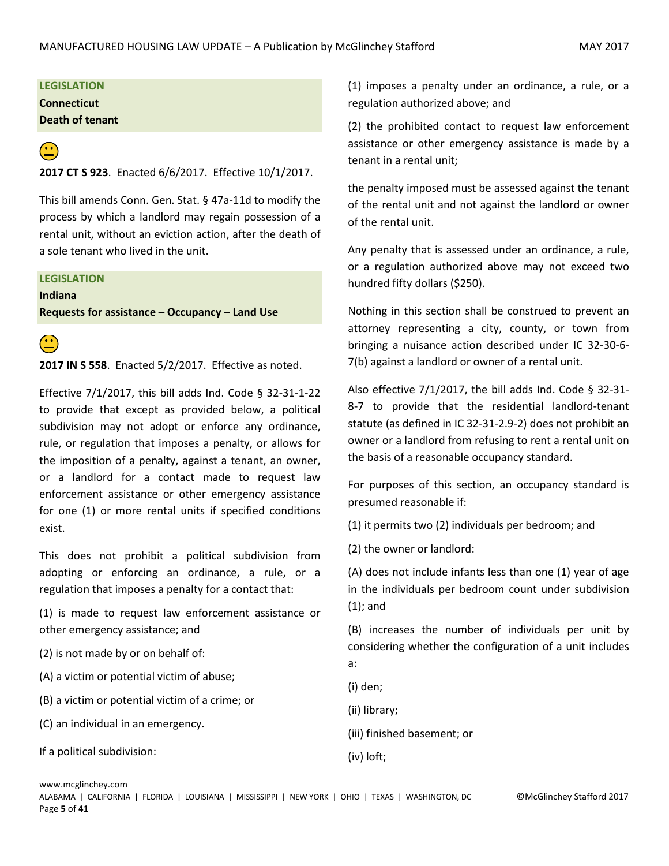#### **LEGISLATION**

**Connecticut**

**Death of tenant**

**2017 CT S 923**. Enacted 6/6/2017. Effective 10/1/2017.

This bill amends Conn. Gen. Stat. § 47a-11d to modify the process by which a landlord may regain possession of a rental unit, without an eviction action, after the death of a sole tenant who lived in the unit.

#### **LEGISLATION**

**Indiana Requests for assistance – Occupancy – Land Use**



 **2017 IN S 558**. Enacted 5/2/2017. Effective as noted.

Effective 7/1/2017, this bill adds Ind. Code § 32-31-1-22 to provide that except as provided below, a political subdivision may not adopt or enforce any ordinance, rule, or regulation that imposes a penalty, or allows for the imposition of a penalty, against a tenant, an owner, or a landlord for a contact made to request law enforcement assistance or other emergency assistance for one (1) or more rental units if specified conditions exist.

This does not prohibit a political subdivision from adopting or enforcing an ordinance, a rule, or a regulation that imposes a penalty for a contact that:

(1) is made to request law enforcement assistance or other emergency assistance; and

(2) is not made by or on behalf of:

(A) a victim or potential victim of abuse;

- (B) a victim or potential victim of a crime; or
- (C) an individual in an emergency.

If a political subdivision:

(1) imposes a penalty under an ordinance, a rule, or a regulation authorized above; and

(2) the prohibited contact to request law enforcement assistance or other emergency assistance is made by a tenant in a rental unit;

the penalty imposed must be assessed against the tenant of the rental unit and not against the landlord or owner of the rental unit.

Any penalty that is assessed under an ordinance, a rule, or a regulation authorized above may not exceed two hundred fifty dollars (\$250).

Nothing in this section shall be construed to prevent an attorney representing a city, county, or town from bringing a nuisance action described under IC 32-30-6- 7(b) against a landlord or owner of a rental unit.

Also effective 7/1/2017, the bill adds Ind. Code § 32-31- 8-7 to provide that the residential landlord-tenant statute (as defined in IC 32-31-2.9-2) does not prohibit an owner or a landlord from refusing to rent a rental unit on the basis of a reasonable occupancy standard.

For purposes of this section, an occupancy standard is presumed reasonable if:

(1) it permits two (2) individuals per bedroom; and

(2) the owner or landlord:

(A) does not include infants less than one (1) year of age in the individuals per bedroom count under subdivision (1); and

(B) increases the number of individuals per unit by considering whether the configuration of a unit includes a:

(i) den;

(ii) library;

- (iii) finished basement; or
- (iv) loft;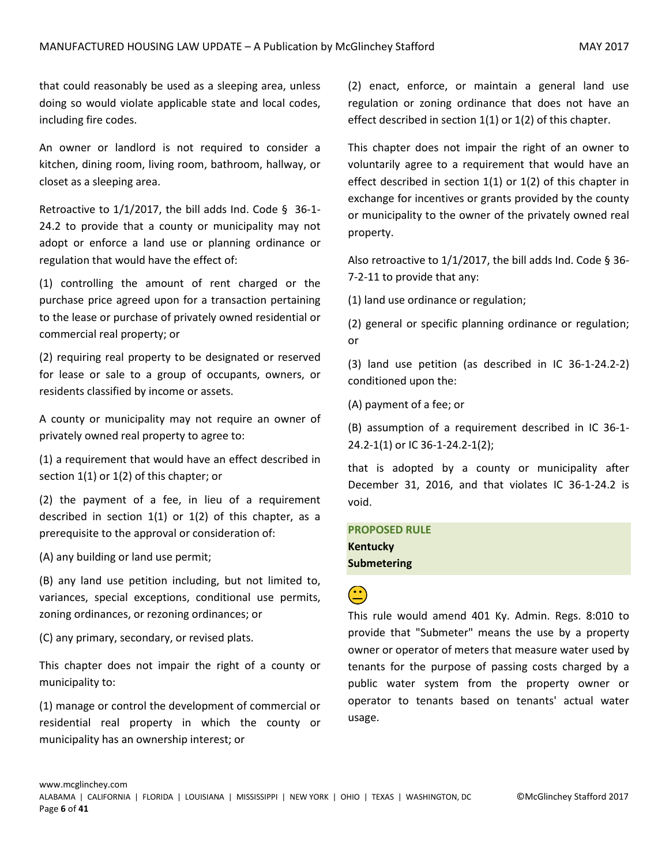that could reasonably be used as a sleeping area, unless doing so would violate applicable state and local codes, including fire codes.

An owner or landlord is not required to consider a kitchen, dining room, living room, bathroom, hallway, or closet as a sleeping area.

Retroactive to 1/1/2017, the bill adds Ind. Code § 36-1- 24.2 to provide that a county or municipality may not adopt or enforce a land use or planning ordinance or regulation that would have the effect of:

(1) controlling the amount of rent charged or the purchase price agreed upon for a transaction pertaining to the lease or purchase of privately owned residential or commercial real property; or

(2) requiring real property to be designated or reserved for lease or sale to a group of occupants, owners, or residents classified by income or assets.

A county or municipality may not require an owner of privately owned real property to agree to:

(1) a requirement that would have an effect described in section 1(1) or 1(2) of this chapter; or

(2) the payment of a fee, in lieu of a requirement described in section  $1(1)$  or  $1(2)$  of this chapter, as a prerequisite to the approval or consideration of:

(A) any building or land use permit;

(B) any land use petition including, but not limited to, variances, special exceptions, conditional use permits, zoning ordinances, or rezoning ordinances; or

(C) any primary, secondary, or revised plats.

This chapter does not impair the right of a county or municipality to:

(1) manage or control the development of commercial or residential real property in which the county or municipality has an ownership interest; or

(2) enact, enforce, or maintain a general land use regulation or zoning ordinance that does not have an effect described in section 1(1) or 1(2) of this chapter.

This chapter does not impair the right of an owner to voluntarily agree to a requirement that would have an effect described in section 1(1) or 1(2) of this chapter in exchange for incentives or grants provided by the county or municipality to the owner of the privately owned real property.

Also retroactive to 1/1/2017, the bill adds Ind. Code § 36- 7-2-11 to provide that any:

(1) land use ordinance or regulation;

(2) general or specific planning ordinance or regulation; or

(3) land use petition (as described in IC 36-1-24.2-2) conditioned upon the:

(A) payment of a fee; or

(B) assumption of a requirement described in IC 36-1- 24.2-1(1) or IC 36-1-24.2-1(2);

that is adopted by a county or municipality after December 31, 2016, and that violates IC 36-1-24.2 is void.

**PROPOSED RULE Kentucky Submetering**

# $\bigodot$

This rule would amend 401 Ky. Admin. Regs. 8:010 to provide that "Submeter" means the use by a property owner or operator of meters that measure water used by tenants for the purpose of passing costs charged by a public water system from the property owner or operator to tenants based on tenants' actual water usage.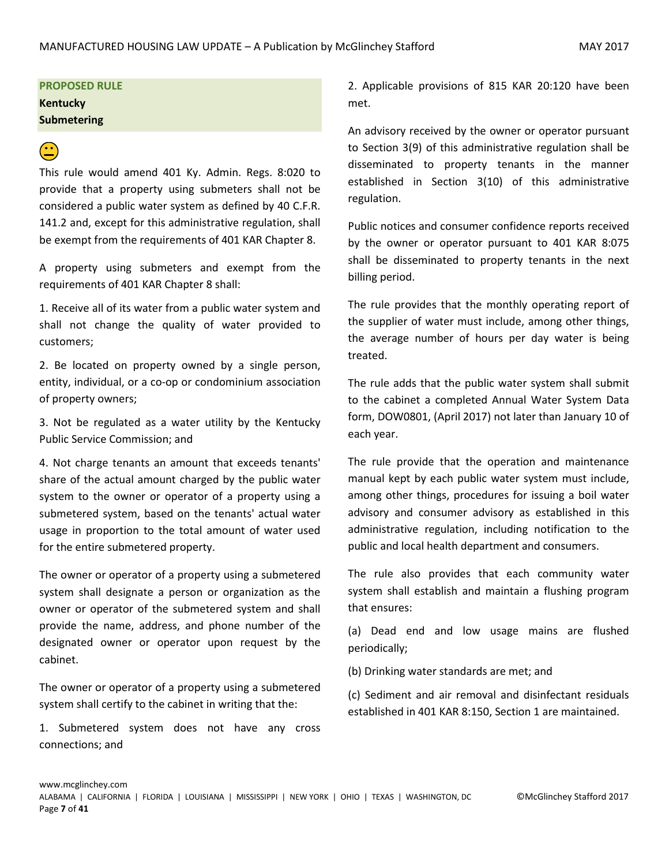### **PROPOSED RULE Kentucky Submetering**

# $\bigodot$

This rule would amend 401 Ky. Admin. Regs. 8:020 to provide that a property using submeters shall not be considered a public water system as defined by 40 C.F.R. 141.2 and, except for this administrative regulation, shall be exempt from the requirements of 401 KAR Chapter 8.

A property using submeters and exempt from the requirements of 401 KAR Chapter 8 shall:

1. Receive all of its water from a public water system and shall not change the quality of water provided to customers;

2. Be located on property owned by a single person, entity, individual, or a co-op or condominium association of property owners;

3. Not be regulated as a water utility by the Kentucky Public Service Commission; and

4. Not charge tenants an amount that exceeds tenants' share of the actual amount charged by the public water system to the owner or operator of a property using a submetered system, based on the tenants' actual water usage in proportion to the total amount of water used for the entire submetered property.

The owner or operator of a property using a submetered system shall designate a person or organization as the owner or operator of the submetered system and shall provide the name, address, and phone number of the designated owner or operator upon request by the cabinet.

The owner or operator of a property using a submetered system shall certify to the cabinet in writing that the:

1. Submetered system does not have any cross connections; and

2. Applicable provisions of 815 KAR 20:120 have been met.

An advisory received by the owner or operator pursuant to Section 3(9) of this administrative regulation shall be disseminated to property tenants in the manner established in Section 3(10) of this administrative regulation.

Public notices and consumer confidence reports received by the owner or operator pursuant to 401 KAR 8:075 shall be disseminated to property tenants in the next billing period.

The rule provides that the monthly operating report of the supplier of water must include, among other things, the average number of hours per day water is being treated.

The rule adds that the public water system shall submit to the cabinet a completed Annual Water System Data form, DOW0801, (April 2017) not later than January 10 of each year.

The rule provide that the operation and maintenance manual kept by each public water system must include, among other things, procedures for issuing a boil water advisory and consumer advisory as established in this administrative regulation, including notification to the public and local health department and consumers.

The rule also provides that each community water system shall establish and maintain a flushing program that ensures:

(a) Dead end and low usage mains are flushed periodically;

(b) Drinking water standards are met; and

(c) Sediment and air removal and disinfectant residuals established in 401 KAR 8:150, Section 1 are maintained.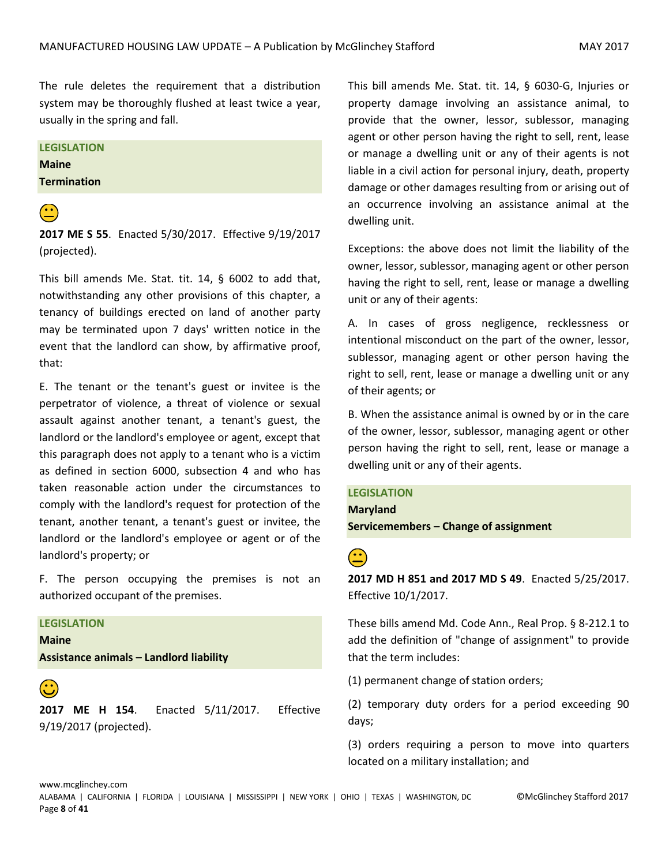The rule deletes the requirement that a distribution system may be thoroughly flushed at least twice a year, usually in the spring and fall.

#### **LEGISLATION**

**Maine Termination**

 **2017 ME S 55**. Enacted 5/30/2017. Effective 9/19/2017 (projected).

This bill amends Me. Stat. tit. 14, § 6002 to add that, notwithstanding any other provisions of this chapter, a tenancy of buildings erected on land of another party may be terminated upon 7 days' written notice in the event that the landlord can show, by affirmative proof, that:

E. The tenant or the tenant's guest or invitee is the perpetrator of violence, a threat of violence or sexual assault against another tenant, a tenant's guest, the landlord or the landlord's employee or agent, except that this paragraph does not apply to a tenant who is a victim as defined in section 6000, subsection 4 and who has taken reasonable action under the circumstances to comply with the landlord's request for protection of the tenant, another tenant, a tenant's guest or invitee, the landlord or the landlord's employee or agent or of the landlord's property; or

F. The person occupying the premises is not an authorized occupant of the premises.

#### **LEGISLATION Maine**

**Assistance animals – Landlord liability**

 **2017 ME H 154**. Enacted 5/11/2017. Effective 9/19/2017 (projected).

This bill amends Me. Stat. tit. 14, § 6030-G, Injuries or property damage involving an assistance animal, to provide that the owner, lessor, sublessor, managing agent or other person having the right to sell, rent, lease or manage a dwelling unit or any of their agents is not liable in a civil action for personal injury, death, property damage or other damages resulting from or arising out of an occurrence involving an assistance animal at the dwelling unit.

Exceptions: the above does not limit the liability of the owner, lessor, sublessor, managing agent or other person having the right to sell, rent, lease or manage a dwelling unit or any of their agents:

A. In cases of gross negligence, recklessness or intentional misconduct on the part of the owner, lessor, sublessor, managing agent or other person having the right to sell, rent, lease or manage a dwelling unit or any of their agents; or

B. When the assistance animal is owned by or in the care of the owner, lessor, sublessor, managing agent or other person having the right to sell, rent, lease or manage a dwelling unit or any of their agents.

#### **LEGISLATION**

**Maryland Servicemembers – Change of assignment**

**2017 MD H 851 and 2017 MD S 49**. Enacted 5/25/2017. Effective 10/1/2017.

These bills amend Md. Code Ann., Real Prop. § 8-212.1 to add the definition of "change of assignment" to provide that the term includes:

(1) permanent change of station orders;

(2) temporary duty orders for a period exceeding 90 days;

(3) orders requiring a person to move into quarters located on a military installation; and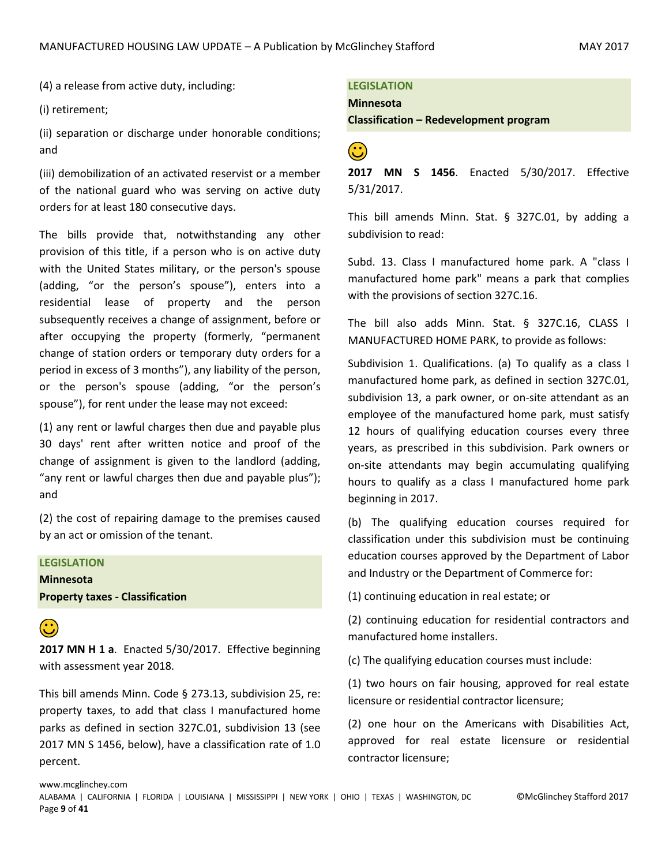(4) a release from active duty, including:

(i) retirement;

(ii) separation or discharge under honorable conditions; and

(iii) demobilization of an activated reservist or a member of the national guard who was serving on active duty orders for at least 180 consecutive days.

The bills provide that, notwithstanding any other provision of this title, if a person who is on active duty with the United States military, or the person's spouse (adding, "or the person's spouse"), enters into a residential lease of property and the person subsequently receives a change of assignment, before or after occupying the property (formerly, "permanent change of station orders or temporary duty orders for a period in excess of 3 months"), any liability of the person, or the person's spouse (adding, "or the person's spouse"), for rent under the lease may not exceed:

(1) any rent or lawful charges then due and payable plus 30 days' rent after written notice and proof of the change of assignment is given to the landlord (adding, "any rent or lawful charges then due and payable plus"); and

(2) the cost of repairing damage to the premises caused by an act or omission of the tenant.

#### **LEGISLATION**

**Minnesota Property taxes - Classification**

**2017 MN H 1 a**. Enacted 5/30/2017. Effective beginning with assessment year 2018.

This bill amends Minn. Code § 273.13, subdivision 25, re: property taxes, to add that class I manufactured home parks as defined in section 327C.01, subdivision 13 (see 2017 MN S 1456, below), have a classification rate of 1.0 percent.

**LEGISLATION** 

**Minnesota**

**Classification – Redevelopment program**

 $\bigodot$ 

**2017 MN S 1456**. Enacted 5/30/2017. Effective 5/31/2017.

This bill amends Minn. Stat. § 327C.01, by adding a subdivision to read:

Subd. 13. Class I manufactured home park. A "class I manufactured home park" means a park that complies with the provisions of section 327C.16.

The bill also adds Minn. Stat. § 327C.16, CLASS I MANUFACTURED HOME PARK, to provide as follows:

Subdivision 1. Qualifications. (a) To qualify as a class I manufactured home park, as defined in section 327C.01, subdivision 13, a park owner, or on-site attendant as an employee of the manufactured home park, must satisfy 12 hours of qualifying education courses every three years, as prescribed in this subdivision. Park owners or on-site attendants may begin accumulating qualifying hours to qualify as a class I manufactured home park beginning in 2017.

(b) The qualifying education courses required for classification under this subdivision must be continuing education courses approved by the Department of Labor and Industry or the Department of Commerce for:

(1) continuing education in real estate; or

(2) continuing education for residential contractors and manufactured home installers.

(c) The qualifying education courses must include:

(1) two hours on fair housing, approved for real estate licensure or residential contractor licensure;

(2) one hour on the Americans with Disabilities Act, approved for real estate licensure or residential contractor licensure;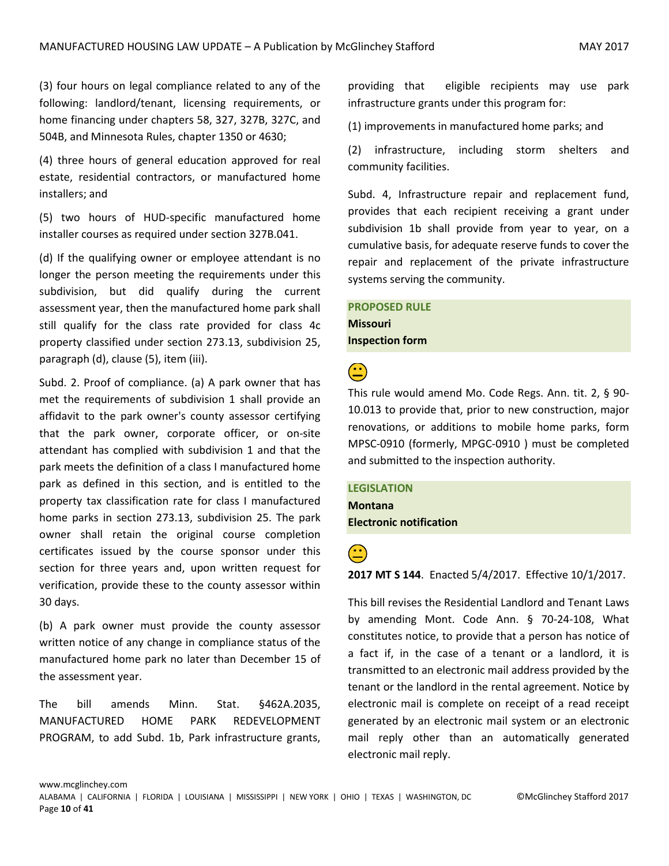(3) four hours on legal compliance related to any of the following: landlord/tenant, licensing requirements, or home financing under chapters 58, 327, 327B, 327C, and 504B, and Minnesota Rules, chapter 1350 or 4630;

(4) three hours of general education approved for real estate, residential contractors, or manufactured home installers; and

(5) two hours of HUD-specific manufactured home installer courses as required under section 327B.041.

(d) If the qualifying owner or employee attendant is no longer the person meeting the requirements under this subdivision, but did qualify during the current assessment year, then the manufactured home park shall still qualify for the class rate provided for class 4c property classified under section 273.13, subdivision 25, paragraph (d), clause (5), item (iii).

Subd. 2. Proof of compliance. (a) A park owner that has met the requirements of subdivision 1 shall provide an affidavit to the park owner's county assessor certifying that the park owner, corporate officer, or on-site attendant has complied with subdivision 1 and that the park meets the definition of a class I manufactured home park as defined in this section, and is entitled to the property tax classification rate for class I manufactured home parks in section 273.13, subdivision 25. The park owner shall retain the original course completion certificates issued by the course sponsor under this section for three years and, upon written request for verification, provide these to the county assessor within 30 days.

(b) A park owner must provide the county assessor written notice of any change in compliance status of the manufactured home park no later than December 15 of the assessment year.

The bill amends Minn. Stat. §462A.2035, MANUFACTURED HOME PARK REDEVELOPMENT PROGRAM, to add Subd. 1b, Park infrastructure grants, providing that eligible recipients may use park infrastructure grants under this program for:

(1) improvements in manufactured home parks; and

(2) infrastructure, including storm shelters and community facilities.

Subd. 4, Infrastructure repair and replacement fund, provides that each recipient receiving a grant under subdivision 1b shall provide from year to year, on a cumulative basis, for adequate reserve funds to cover the repair and replacement of the private infrastructure systems serving the community.

**PROPOSED RULE Missouri Inspection form**

 $\bigodot$ 

This rule would amend Mo. Code Regs. Ann. tit. 2, § 90- 10.013 to provide that, prior to new construction, major renovations, or additions to mobile home parks, form MPSC-0910 (formerly, MPGC-0910 ) must be completed and submitted to the inspection authority.

**LEGISLATION Montana Electronic notification**

 **2017 MT S 144**. Enacted 5/4/2017. Effective 10/1/2017.

This bill revises the Residential Landlord and Tenant Laws by amending Mont. Code Ann. § 70-24-108, What constitutes notice, to provide that a person has notice of a fact if, in the case of a tenant or a landlord, it is transmitted to an electronic mail address provided by the tenant or the landlord in the rental agreement. Notice by electronic mail is complete on receipt of a read receipt generated by an electronic mail system or an electronic mail reply other than an automatically generated electronic mail reply.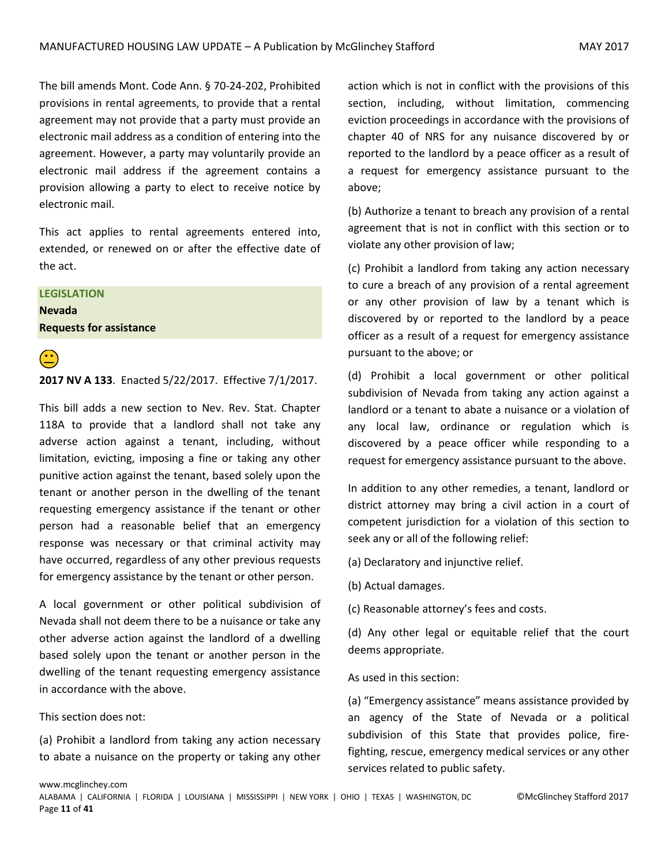The bill amends Mont. Code Ann. § 70-24-202, Prohibited provisions in rental agreements, to provide that a rental agreement may not provide that a party must provide an electronic mail address as a condition of entering into the agreement. However, a party may voluntarily provide an electronic mail address if the agreement contains a provision allowing a party to elect to receive notice by electronic mail.

This act applies to rental agreements entered into, extended, or renewed on or after the effective date of the act.

#### **LEGISLATION**

**Nevada Requests for assistance**



# **2017 NV A 133**. Enacted 5/22/2017. Effective 7/1/2017.

This bill adds a new section to Nev. Rev. Stat. Chapter 118A to provide that a landlord shall not take any adverse action against a tenant, including, without limitation, evicting, imposing a fine or taking any other punitive action against the tenant, based solely upon the tenant or another person in the dwelling of the tenant requesting emergency assistance if the tenant or other person had a reasonable belief that an emergency response was necessary or that criminal activity may have occurred, regardless of any other previous requests for emergency assistance by the tenant or other person.

A local government or other political subdivision of Nevada shall not deem there to be a nuisance or take any other adverse action against the landlord of a dwelling based solely upon the tenant or another person in the dwelling of the tenant requesting emergency assistance in accordance with the above.

This section does not:

(a) Prohibit a landlord from taking any action necessary to abate a nuisance on the property or taking any other action which is not in conflict with the provisions of this section, including, without limitation, commencing eviction proceedings in accordance with the provisions of chapter 40 of NRS for any nuisance discovered by or reported to the landlord by a peace officer as a result of a request for emergency assistance pursuant to the above;

(b) Authorize a tenant to breach any provision of a rental agreement that is not in conflict with this section or to violate any other provision of law;

(c) Prohibit a landlord from taking any action necessary to cure a breach of any provision of a rental agreement or any other provision of law by a tenant which is discovered by or reported to the landlord by a peace officer as a result of a request for emergency assistance pursuant to the above; or

(d) Prohibit a local government or other political subdivision of Nevada from taking any action against a landlord or a tenant to abate a nuisance or a violation of any local law, ordinance or regulation which is discovered by a peace officer while responding to a request for emergency assistance pursuant to the above.

In addition to any other remedies, a tenant, landlord or district attorney may bring a civil action in a court of competent jurisdiction for a violation of this section to seek any or all of the following relief:

(a) Declaratory and injunctive relief.

- (b) Actual damages.
- (c) Reasonable attorney's fees and costs.

(d) Any other legal or equitable relief that the court deems appropriate.

#### As used in this section:

(a) "Emergency assistance" means assistance provided by an agency of the State of Nevada or a political subdivision of this State that provides police, firefighting, rescue, emergency medical services or any other services related to public safety.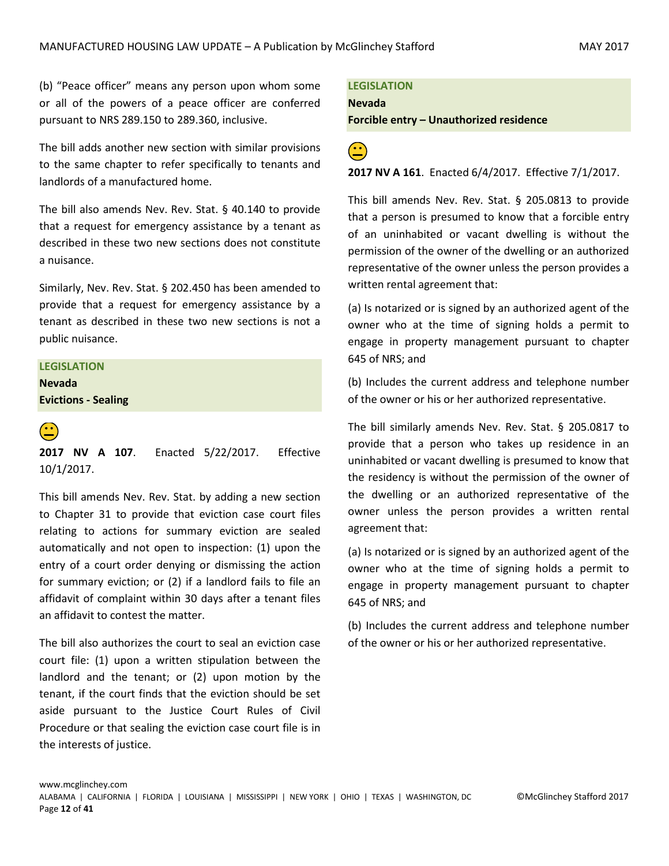(b) "Peace officer" means any person upon whom some or all of the powers of a peace officer are conferred pursuant to NRS 289.150 to 289.360, inclusive.

The bill adds another new section with similar provisions to the same chapter to refer specifically to tenants and landlords of a manufactured home.

The bill also amends Nev. Rev. Stat. § 40.140 to provide that a request for emergency assistance by a tenant as described in these two new sections does not constitute a nuisance.

Similarly, Nev. Rev. Stat. § 202.450 has been amended to provide that a request for emergency assistance by a tenant as described in these two new sections is not a public nuisance.

#### **LEGISLATION**

**Nevada Evictions - Sealing**



 **2017 NV A 107**. Enacted 5/22/2017. Effective 10/1/2017.

This bill amends Nev. Rev. Stat. by adding a new section to Chapter 31 to provide that eviction case court files relating to actions for summary eviction are sealed automatically and not open to inspection: (1) upon the entry of a court order denying or dismissing the action for summary eviction; or (2) if a landlord fails to file an affidavit of complaint within 30 days after a tenant files an affidavit to contest the matter.

The bill also authorizes the court to seal an eviction case court file: (1) upon a written stipulation between the landlord and the tenant; or (2) upon motion by the tenant, if the court finds that the eviction should be set aside pursuant to the Justice Court Rules of Civil Procedure or that sealing the eviction case court file is in the interests of justice.

**LEGISLATION** 

**Nevada**

**Forcible entry – Unauthorized residence**



**2017 NV A 161**. Enacted 6/4/2017. Effective 7/1/2017.

This bill amends Nev. Rev. Stat. § 205.0813 to provide that a person is presumed to know that a forcible entry of an uninhabited or vacant dwelling is without the permission of the owner of the dwelling or an authorized representative of the owner unless the person provides a written rental agreement that:

(a) Is notarized or is signed by an authorized agent of the owner who at the time of signing holds a permit to engage in property management pursuant to chapter 645 of NRS; and

(b) Includes the current address and telephone number of the owner or his or her authorized representative.

The bill similarly amends Nev. Rev. Stat. § 205.0817 to provide that a person who takes up residence in an uninhabited or vacant dwelling is presumed to know that the residency is without the permission of the owner of the dwelling or an authorized representative of the owner unless the person provides a written rental agreement that:

(a) Is notarized or is signed by an authorized agent of the owner who at the time of signing holds a permit to engage in property management pursuant to chapter 645 of NRS; and

(b) Includes the current address and telephone number of the owner or his or her authorized representative.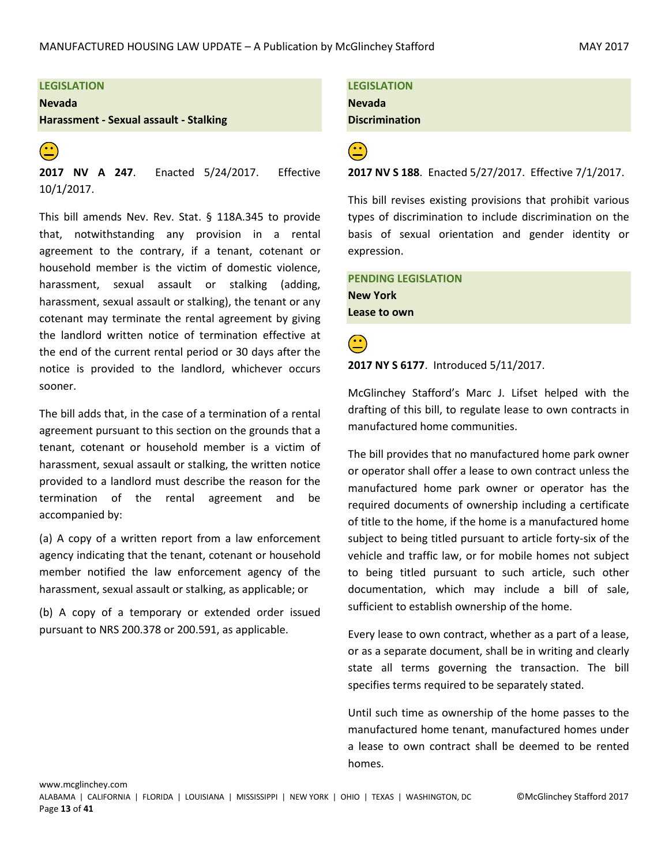#### **LEGISLATION**

**Nevada**

**Harassment - Sexual assault - Stalking**

 **2017 NV A 247**. Enacted 5/24/2017. Effective 10/1/2017.

This bill amends Nev. Rev. Stat. § 118A.345 to provide that, notwithstanding any provision in a rental agreement to the contrary, if a tenant, cotenant or household member is the victim of domestic violence, harassment, sexual assault or stalking (adding, harassment, sexual assault or stalking), the tenant or any cotenant may terminate the rental agreement by giving the landlord written notice of termination effective at the end of the current rental period or 30 days after the notice is provided to the landlord, whichever occurs sooner.

The bill adds that, in the case of a termination of a rental agreement pursuant to this section on the grounds that a tenant, cotenant or household member is a victim of harassment, sexual assault or stalking, the written notice provided to a landlord must describe the reason for the termination of the rental agreement and be accompanied by:

(a) A copy of a written report from a law enforcement agency indicating that the tenant, cotenant or household member notified the law enforcement agency of the harassment, sexual assault or stalking, as applicable; or

(b) A copy of a temporary or extended order issued pursuant to NRS 200.378 or 200.591, as applicable.

**LEGISLATION Nevada Discrimination**

 **2017 NV S 188**. Enacted 5/27/2017. Effective 7/1/2017.

This bill revises existing provisions that prohibit various types of discrimination to include discrimination on the basis of sexual orientation and gender identity or expression.

**PENDING LEGISLATION New York Lease to own**

 $\bigodot$ 

**2017 NY S 6177**. Introduced 5/11/2017.

McGlinchey Stafford's Marc J. Lifset helped with the drafting of this bill, to regulate lease to own contracts in manufactured home communities.

The bill provides that no manufactured home park owner or operator shall offer a lease to own contract unless the manufactured home park owner or operator has the required documents of ownership including a certificate of title to the home, if the home is a manufactured home subject to being titled pursuant to article forty-six of the vehicle and traffic law, or for mobile homes not subject to being titled pursuant to such article, such other documentation, which may include a bill of sale, sufficient to establish ownership of the home.

Every lease to own contract, whether as a part of a lease, or as a separate document, shall be in writing and clearly state all terms governing the transaction. The bill specifies terms required to be separately stated.

Until such time as ownership of the home passes to the manufactured home tenant, manufactured homes under a lease to own contract shall be deemed to be rented homes.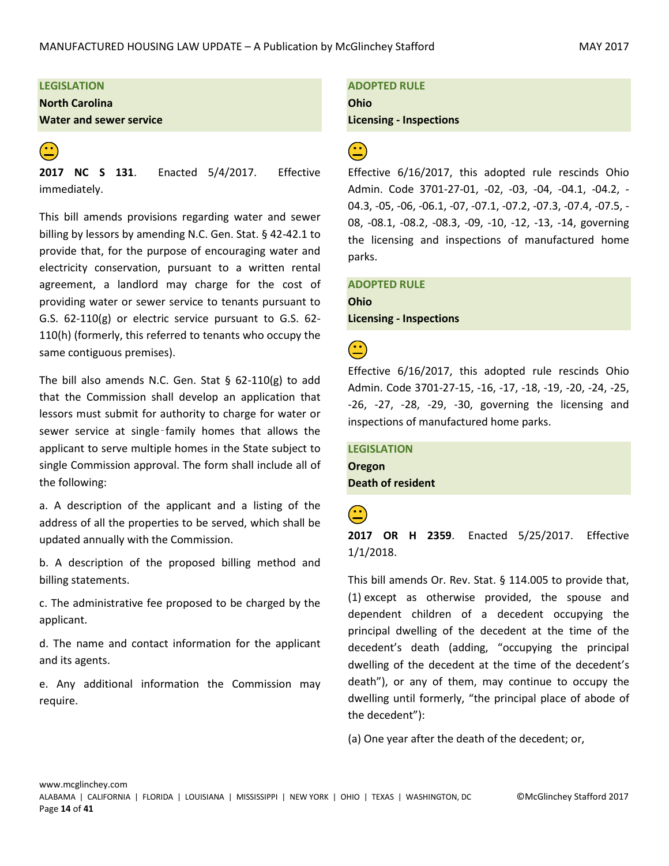#### **LEGISLATION**

**North Carolina**

**Water and sewer service**



**2017 NC S 131**. Enacted 5/4/2017. Effective immediately.

This bill amends provisions regarding water and sewer billing by lessors by amending N.C. Gen. Stat. § 42-42.1 to provide that, for the purpose of encouraging water and electricity conservation, pursuant to a written rental agreement, a landlord may charge for the cost of providing water or sewer service to tenants pursuant to G.S. 62-110(g) or electric service pursuant to G.S. 62- 110(h) (formerly, this referred to tenants who occupy the same contiguous premises).

The bill also amends N.C. Gen. Stat  $\S$  62-110(g) to add that the Commission shall develop an application that lessors must submit for authority to charge for water or sewer service at single-family homes that allows the applicant to serve multiple homes in the State subject to single Commission approval. The form shall include all of the following:

a. A description of the applicant and a listing of the address of all the properties to be served, which shall be updated annually with the Commission.

b. A description of the proposed billing method and billing statements.

c. The administrative fee proposed to be charged by the applicant.

d. The name and contact information for the applicant and its agents.

e. Any additional information the Commission may require.

### **ADOPTED RULE**

**Ohio**

**Licensing - Inspections**

# $\bigodot$

Effective 6/16/2017, this adopted rule rescinds Ohio Admin. Code 3701-27-01, -02, -03, -04, -04.1, -04.2, - 04.3, -05, -06, -06.1, -07, -07.1, -07.2, -07.3, -07.4, -07.5, - 08, -08.1, -08.2, -08.3, -09, -10, -12, -13, -14, governing the licensing and inspections of manufactured home parks.

### **ADOPTED RULE Ohio**

**Licensing - Inspections**

 $\left( \begin{matrix} \cdot \cdot \end{matrix} \right)$ 

Effective 6/16/2017, this adopted rule rescinds Ohio Admin. Code 3701-27-15, -16, -17, -18, -19, -20, -24, -25, -26, -27, -28, -29, -30, governing the licensing and inspections of manufactured home parks.

### **LEGISLATION Oregon Death of resident**

 **2017 OR H 2359**. Enacted 5/25/2017. Effective 1/1/2018.

This bill amends Or. Rev. Stat. § 114.005 to provide that, (1) except as otherwise provided, the spouse and dependent children of a decedent occupying the principal dwelling of the decedent at the time of the decedent's death (adding, "occupying the principal dwelling of the decedent at the time of the decedent's death"), or any of them, may continue to occupy the dwelling until formerly, "the principal place of abode of the decedent"):

(a) One year after the death of the decedent; or,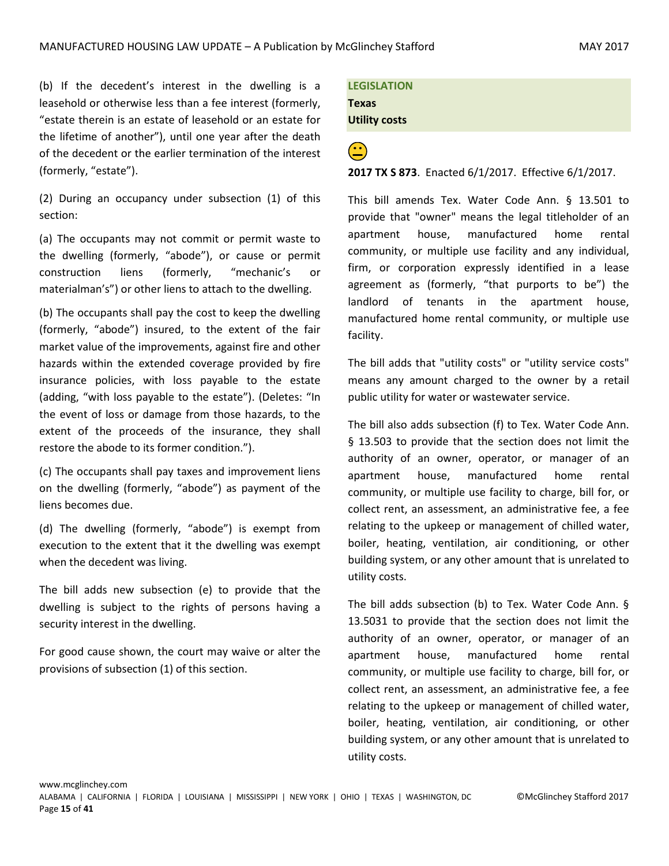(b) If the decedent's interest in the dwelling is a leasehold or otherwise less than a fee interest (formerly, "estate therein is an estate of leasehold or an estate for the lifetime of another"), until one year after the death of the decedent or the earlier termination of the interest (formerly, "estate").

(2) During an occupancy under subsection (1) of this section:

(a) The occupants may not commit or permit waste to the dwelling (formerly, "abode"), or cause or permit construction liens (formerly, "mechanic's or materialman's") or other liens to attach to the dwelling.

(b) The occupants shall pay the cost to keep the dwelling (formerly, "abode") insured, to the extent of the fair market value of the improvements, against fire and other hazards within the extended coverage provided by fire insurance policies, with loss payable to the estate (adding, "with loss payable to the estate"). (Deletes: "In the event of loss or damage from those hazards, to the extent of the proceeds of the insurance, they shall restore the abode to its former condition.").

(c) The occupants shall pay taxes and improvement liens on the dwelling (formerly, "abode") as payment of the liens becomes due.

(d) The dwelling (formerly, "abode") is exempt from execution to the extent that it the dwelling was exempt when the decedent was living.

The bill adds new subsection (e) to provide that the dwelling is subject to the rights of persons having a security interest in the dwelling.

For good cause shown, the court may waive or alter the provisions of subsection (1) of this section.

**LEGISLATION Texas Utility costs**

**2017 TX S 873**. Enacted 6/1/2017. Effective 6/1/2017.

This bill amends Tex. Water Code Ann. § 13.501 to provide that "owner" means the legal titleholder of an apartment house, manufactured home rental community, or multiple use facility and any individual, firm, or corporation expressly identified in a lease agreement as (formerly, "that purports to be") the landlord of tenants in the apartment house, manufactured home rental community, or multiple use facility.

The bill adds that "utility costs" or "utility service costs" means any amount charged to the owner by a retail public utility for water or wastewater service.

The bill also adds subsection (f) to Tex. Water Code Ann. § 13.503 to provide that the section does not limit the authority of an owner, operator, or manager of an apartment house, manufactured home rental community, or multiple use facility to charge, bill for, or collect rent, an assessment, an administrative fee, a fee relating to the upkeep or management of chilled water, boiler, heating, ventilation, air conditioning, or other building system, or any other amount that is unrelated to utility costs.

The bill adds subsection (b) to Tex. Water Code Ann. § 13.5031 to provide that the section does not limit the authority of an owner, operator, or manager of an apartment house, manufactured home rental community, or multiple use facility to charge, bill for, or collect rent, an assessment, an administrative fee, a fee relating to the upkeep or management of chilled water, boiler, heating, ventilation, air conditioning, or other building system, or any other amount that is unrelated to utility costs.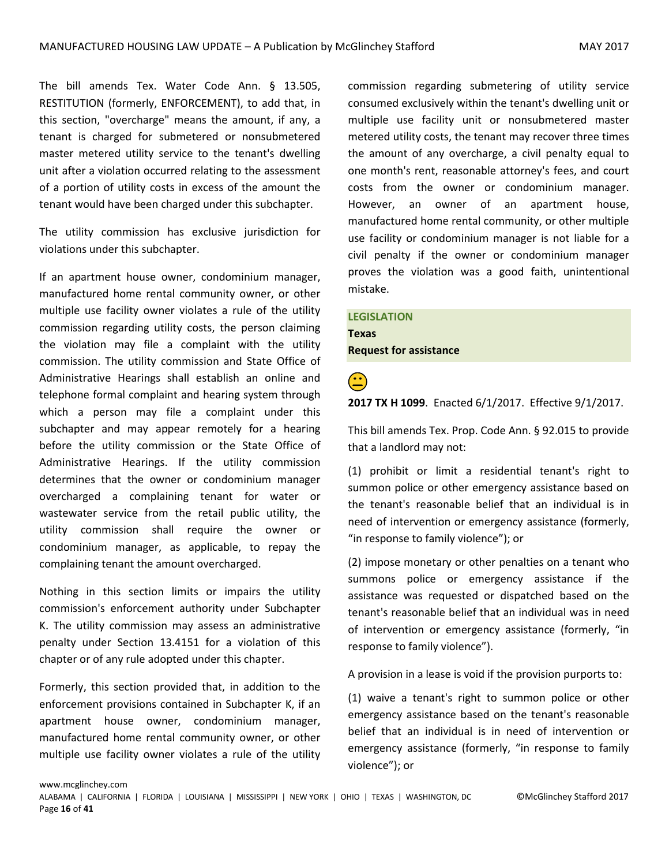The bill amends Tex. Water Code Ann. § 13.505, RESTITUTION (formerly, ENFORCEMENT), to add that, in this section, "overcharge" means the amount, if any, a tenant is charged for submetered or nonsubmetered master metered utility service to the tenant's dwelling unit after a violation occurred relating to the assessment of a portion of utility costs in excess of the amount the tenant would have been charged under this subchapter.

The utility commission has exclusive jurisdiction for violations under this subchapter.

If an apartment house owner, condominium manager, manufactured home rental community owner, or other multiple use facility owner violates a rule of the utility commission regarding utility costs, the person claiming the violation may file a complaint with the utility commission. The utility commission and State Office of Administrative Hearings shall establish an online and telephone formal complaint and hearing system through which a person may file a complaint under this subchapter and may appear remotely for a hearing before the utility commission or the State Office of Administrative Hearings. If the utility commission determines that the owner or condominium manager overcharged a complaining tenant for water or wastewater service from the retail public utility, the utility commission shall require the owner or condominium manager, as applicable, to repay the complaining tenant the amount overcharged.

Nothing in this section limits or impairs the utility commission's enforcement authority under Subchapter K. The utility commission may assess an administrative penalty under Section 13.4151 for a violation of this chapter or of any rule adopted under this chapter.

Formerly, this section provided that, in addition to the enforcement provisions contained in Subchapter K, if an apartment house owner, condominium manager, manufactured home rental community owner, or other multiple use facility owner violates a rule of the utility commission regarding submetering of utility service consumed exclusively within the tenant's dwelling unit or multiple use facility unit or nonsubmetered master metered utility costs, the tenant may recover three times the amount of any overcharge, a civil penalty equal to one month's rent, reasonable attorney's fees, and court costs from the owner or condominium manager. However, an owner of an apartment house, manufactured home rental community, or other multiple use facility or condominium manager is not liable for a civil penalty if the owner or condominium manager proves the violation was a good faith, unintentional mistake.

#### **LEGISLATION**

**Texas Request for assistance**

**2017 TX H 1099**. Enacted 6/1/2017. Effective 9/1/2017.

This bill amends Tex. Prop. Code Ann. § 92.015 to provide that a landlord may not:

(1) prohibit or limit a residential tenant's right to summon police or other emergency assistance based on the tenant's reasonable belief that an individual is in need of intervention or emergency assistance (formerly, "in response to family violence"); or

(2) impose monetary or other penalties on a tenant who summons police or emergency assistance if the assistance was requested or dispatched based on the tenant's reasonable belief that an individual was in need of intervention or emergency assistance (formerly, "in response to family violence").

A provision in a lease is void if the provision purports to:

(1) waive a tenant's right to summon police or other emergency assistance based on the tenant's reasonable belief that an individual is in need of intervention or emergency assistance (formerly, "in response to family violence"); or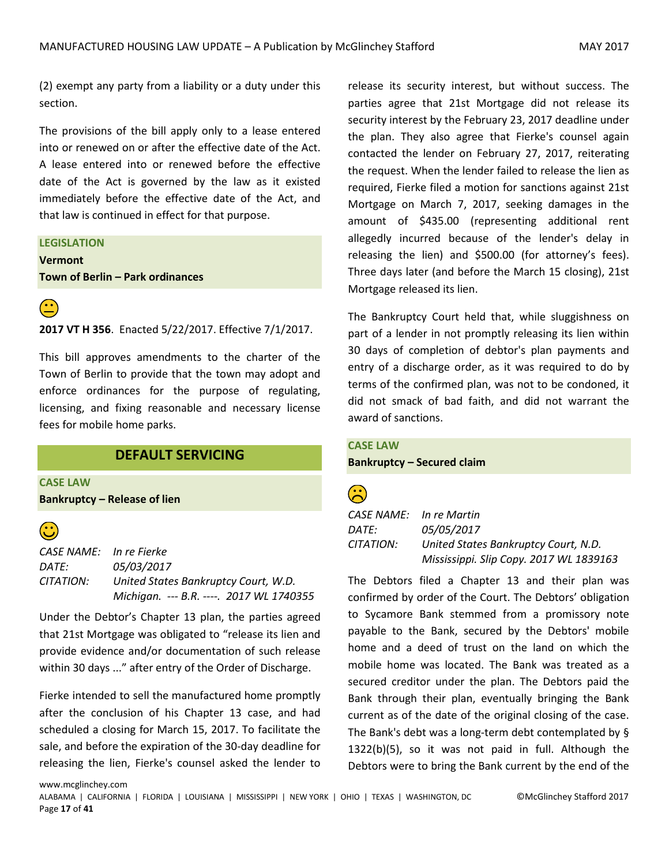(2) exempt any party from a liability or a duty under this section.

The provisions of the bill apply only to a lease entered into or renewed on or after the effective date of the Act. A lease entered into or renewed before the effective date of the Act is governed by the law as it existed immediately before the effective date of the Act, and that law is continued in effect for that purpose.

#### **LEGISLATION**

**Vermont Town of Berlin – Park ordinances**



**2017 VT H 356**. Enacted 5/22/2017. Effective 7/1/2017.

This bill approves amendments to the charter of the Town of Berlin to provide that the town may adopt and enforce ordinances for the purpose of regulating, licensing, and fixing reasonable and necessary license fees for mobile home parks.

#### **DEFAULT SERVICING**

<span id="page-16-0"></span>**CASE LAW**

www.mcglinchey.com

**Bankruptcy – Release of lien** 



*CASE NAME: In re Fierke DATE: 05/03/2017 CITATION: United States Bankruptcy Court, W.D. Michigan. --- B.R. ----. 2017 WL 1740355*

Under the Debtor's Chapter 13 plan, the parties agreed that 21st Mortgage was obligated to "release its lien and provide evidence and/or documentation of such release within 30 days ..." after entry of the Order of Discharge.

Fierke intended to sell the manufactured home promptly after the conclusion of his Chapter 13 case, and had scheduled a closing for March 15, 2017. To facilitate the sale, and before the expiration of the 30-day deadline for releasing the lien, Fierke's counsel asked the lender to release its security interest, but without success. The parties agree that 21st Mortgage did not release its security interest by the February 23, 2017 deadline under the plan. They also agree that Fierke's counsel again contacted the lender on February 27, 2017, reiterating the request. When the lender failed to release the lien as required, Fierke filed a motion for sanctions against 21st Mortgage on March 7, 2017, seeking damages in the amount of \$435.00 (representing additional rent allegedly incurred because of the lender's delay in releasing the lien) and \$500.00 (for attorney's fees). Three days later (and before the March 15 closing), 21st Mortgage released its lien.

The Bankruptcy Court held that, while sluggishness on part of a lender in not promptly releasing its lien within 30 days of completion of debtor's plan payments and entry of a discharge order, as it was required to do by terms of the confirmed plan, was not to be condoned, it did not smack of bad faith, and did not warrant the award of sanctions.

#### **CASE LAW**

**Bankruptcy – Secured claim**

|               | <b>Service Service</b> |  |
|---------------|------------------------|--|
| $\frac{1}{2}$ | ۰,<br>٧                |  |

*CASE NAME: In re Martin DATE: 05/05/2017 CITATION: United States Bankruptcy Court, N.D. Mississippi. Slip Copy. 2017 WL 1839163*

The Debtors filed a Chapter 13 and their plan was confirmed by order of the Court. The Debtors' obligation to Sycamore Bank stemmed from a promissory note payable to the Bank, secured by the Debtors' mobile home and a deed of trust on the land on which the mobile home was located. The Bank was treated as a secured creditor under the plan. The Debtors paid the Bank through their plan, eventually bringing the Bank current as of the date of the original closing of the case. The Bank's debt was a long-term debt contemplated by § 1322(b)(5), so it was not paid in full. Although the Debtors were to bring the Bank current by the end of the

ALABAMA | CALIFORNIA | FLORIDA | LOUISIANA | MISSISSIPPI | NEW YORK | OHIO | TEXAS | WASHINGTON, DC ©McGlinchey Stafford 2017 Page **17** of **41**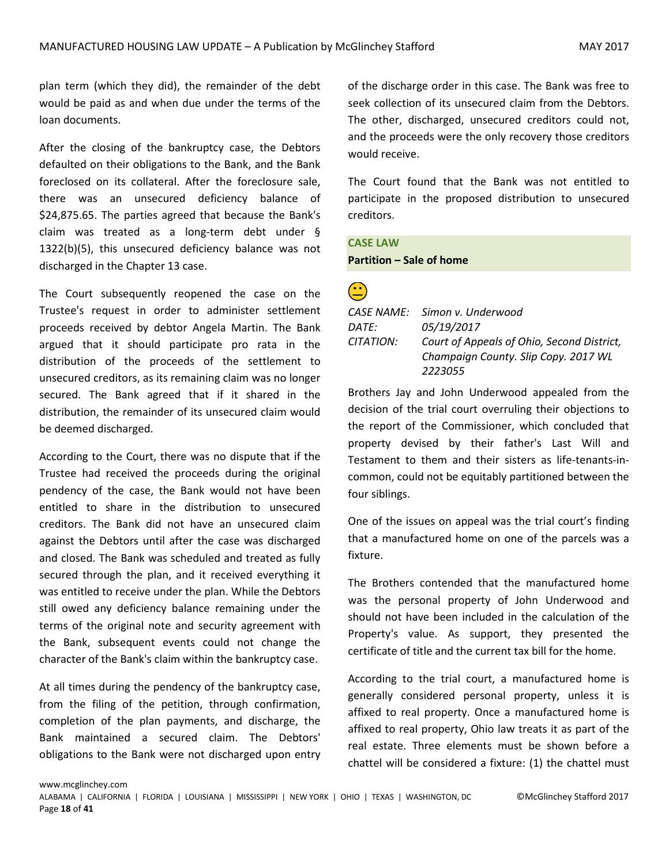plan term (which they did), the remainder of the debt would be paid as and when due under the terms of the loan documents.

After the closing of the bankruptcy case, the Debtors defaulted on their obligations to the Bank, and the Bank foreclosed on its collateral. After the foreclosure sale, there was an unsecured deficiency balance of \$24,875.65. The parties agreed that because the Bank's claim was treated as a long-term debt under § 1322(b)(5), this unsecured deficiency balance was not discharged in the Chapter 13 case.

The Court subsequently reopened the case on the Trustee's request in order to administer settlement proceeds received by debtor Angela Martin. The Bank argued that it should participate pro rata in the distribution of the proceeds of the settlement to unsecured creditors, as its remaining claim was no longer secured. The Bank agreed that if it shared in the distribution, the remainder of its unsecured claim would be deemed discharged.

According to the Court, there was no dispute that if the Trustee had received the proceeds during the original pendency of the case, the Bank would not have been entitled to share in the distribution to unsecured creditors. The Bank did not have an unsecured claim against the Debtors until after the case was discharged and closed. The Bank was scheduled and treated as fully secured through the plan, and it received everything it was entitled to receive under the plan. While the Debtors still owed any deficiency balance remaining under the terms of the original note and security agreement with the Bank, subsequent events could not change the character of the Bank's claim within the bankruptcy case.

At all times during the pendency of the bankruptcy case, from the filing of the petition, through confirmation, completion of the plan payments, and discharge, the Bank maintained a secured claim. The Debtors' obligations to the Bank were not discharged upon entry of the discharge order in this case. The Bank was free to seek collection of its unsecured claim from the Debtors. The other, discharged, unsecured creditors could not, and the proceeds were the only recovery those creditors would receive.

The Court found that the Bank was not entitled to participate in the proposed distribution to unsecured creditors.

#### **CASE LAW**

#### **Partition – Sale of home**

|           | CASE NAME: Simon v. Underwood              |
|-----------|--------------------------------------------|
| DATE:     | 05/19/2017                                 |
| CITATION: | Court of Appeals of Ohio, Second District, |
|           | Champaign County. Slip Copy. 2017 WL       |
|           | 2223055                                    |

Brothers Jay and John Underwood appealed from the decision of the trial court overruling their objections to the report of the Commissioner, which concluded that property devised by their father's Last Will and Testament to them and their sisters as life-tenants-incommon, could not be equitably partitioned between the four siblings.

One of the issues on appeal was the trial court's finding that a manufactured home on one of the parcels was a fixture.

The Brothers contended that the manufactured home was the personal property of John Underwood and should not have been included in the calculation of the Property's value. As support, they presented the certificate of title and the current tax bill for the home.

According to the trial court, a manufactured home is generally considered personal property, unless it is affixed to real property. Once a manufactured home is affixed to real property, Ohio law treats it as part of the real estate. Three elements must be shown before a chattel will be considered a fixture: (1) the chattel must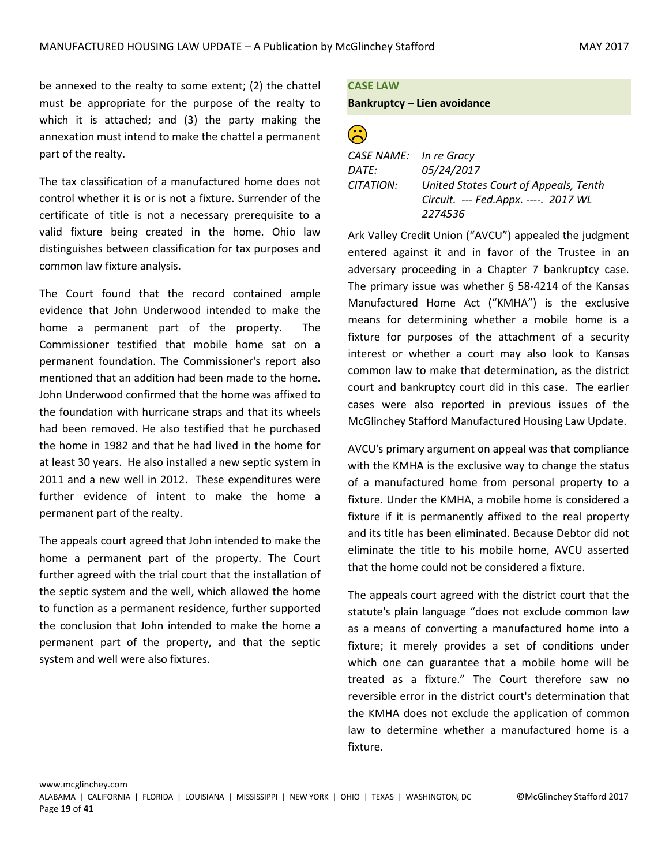be annexed to the realty to some extent; (2) the chattel must be appropriate for the purpose of the realty to which it is attached; and (3) the party making the annexation must intend to make the chattel a permanent part of the realty.

The tax classification of a manufactured home does not control whether it is or is not a fixture. Surrender of the certificate of title is not a necessary prerequisite to a valid fixture being created in the home. Ohio law distinguishes between classification for tax purposes and common law fixture analysis.

The Court found that the record contained ample evidence that John Underwood intended to make the home a permanent part of the property. The Commissioner testified that mobile home sat on a permanent foundation. The Commissioner's report also mentioned that an addition had been made to the home. John Underwood confirmed that the home was affixed to the foundation with hurricane straps and that its wheels had been removed. He also testified that he purchased the home in 1982 and that he had lived in the home for at least 30 years. He also installed a new septic system in 2011 and a new well in 2012. These expenditures were further evidence of intent to make the home a permanent part of the realty.

The appeals court agreed that John intended to make the home a permanent part of the property. The Court further agreed with the trial court that the installation of the septic system and the well, which allowed the home to function as a permanent residence, further supported the conclusion that John intended to make the home a permanent part of the property, and that the septic system and well were also fixtures.

#### **CASE LAW Bankruptcy – Lien avoidance**

 $\widehat{\mathbb{G}}$ 

| CASE NAME: In re Gracy |                                       |
|------------------------|---------------------------------------|
| DATE:                  | 05/24/2017                            |
| CITATION:              | United States Court of Appeals, Tenth |
|                        | Circuit. --- Fed.Appx. ----. 2017 WL  |
|                        | 2274536                               |

Ark Valley Credit Union ("AVCU") appealed the judgment entered against it and in favor of the Trustee in an adversary proceeding in a Chapter 7 bankruptcy case. The primary issue was whether § 58-4214 of the Kansas Manufactured Home Act ("KMHA") is the exclusive means for determining whether a mobile home is a fixture for purposes of the attachment of a security interest or whether a court may also look to Kansas common law to make that determination, as the district court and bankruptcy court did in this case. The earlier cases were also reported in previous issues of the McGlinchey Stafford Manufactured Housing Law Update.

AVCU's primary argument on appeal was that compliance with the KMHA is the exclusive way to change the status of a manufactured home from personal property to a fixture. Under the KMHA, a mobile home is considered a fixture if it is permanently affixed to the real property and its title has been eliminated. Because Debtor did not eliminate the title to his mobile home, AVCU asserted that the home could not be considered a fixture.

The appeals court agreed with the district court that the statute's plain language "does not exclude common law as a means of converting a manufactured home into a fixture; it merely provides a set of conditions under which one can guarantee that a mobile home will be treated as a fixture." The Court therefore saw no reversible error in the district court's determination that the KMHA does not exclude the application of common law to determine whether a manufactured home is a fixture.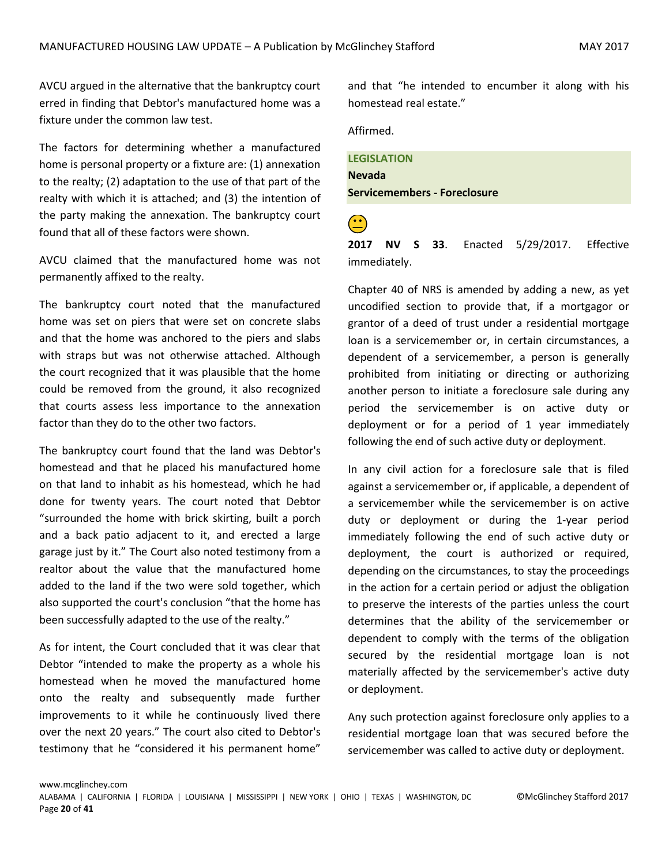AVCU argued in the alternative that the bankruptcy court erred in finding that Debtor's manufactured home was a fixture under the common law test.

The factors for determining whether a manufactured home is personal property or a fixture are: (1) annexation to the realty; (2) adaptation to the use of that part of the realty with which it is attached; and (3) the intention of the party making the annexation. The bankruptcy court found that all of these factors were shown.

AVCU claimed that the manufactured home was not permanently affixed to the realty.

The bankruptcy court noted that the manufactured home was set on piers that were set on concrete slabs and that the home was anchored to the piers and slabs with straps but was not otherwise attached. Although the court recognized that it was plausible that the home could be removed from the ground, it also recognized that courts assess less importance to the annexation factor than they do to the other two factors.

The bankruptcy court found that the land was Debtor's homestead and that he placed his manufactured home on that land to inhabit as his homestead, which he had done for twenty years. The court noted that Debtor "surrounded the home with brick skirting, built a porch and a back patio adjacent to it, and erected a large garage just by it." The Court also noted testimony from a realtor about the value that the manufactured home added to the land if the two were sold together, which also supported the court's conclusion "that the home has been successfully adapted to the use of the realty."

As for intent, the Court concluded that it was clear that Debtor "intended to make the property as a whole his homestead when he moved the manufactured home onto the realty and subsequently made further improvements to it while he continuously lived there over the next 20 years." The court also cited to Debtor's testimony that he "considered it his permanent home"

and that "he intended to encumber it along with his homestead real estate."

Affirmed.

#### **LEGISLATION**

**Nevada Servicemembers - Foreclosure**

 **2017 NV S 33**. Enacted 5/29/2017. Effective immediately.

Chapter 40 of NRS is amended by adding a new, as yet uncodified section to provide that, if a mortgagor or grantor of a deed of trust under a residential mortgage loan is a servicemember or, in certain circumstances, a dependent of a servicemember, a person is generally prohibited from initiating or directing or authorizing another person to initiate a foreclosure sale during any period the servicemember is on active duty or deployment or for a period of 1 year immediately following the end of such active duty or deployment.

In any civil action for a foreclosure sale that is filed against a servicemember or, if applicable, a dependent of a servicemember while the servicemember is on active duty or deployment or during the 1-year period immediately following the end of such active duty or deployment, the court is authorized or required, depending on the circumstances, to stay the proceedings in the action for a certain period or adjust the obligation to preserve the interests of the parties unless the court determines that the ability of the servicemember or dependent to comply with the terms of the obligation secured by the residential mortgage loan is not materially affected by the servicemember's active duty or deployment.

Any such protection against foreclosure only applies to a residential mortgage loan that was secured before the servicemember was called to active duty or deployment.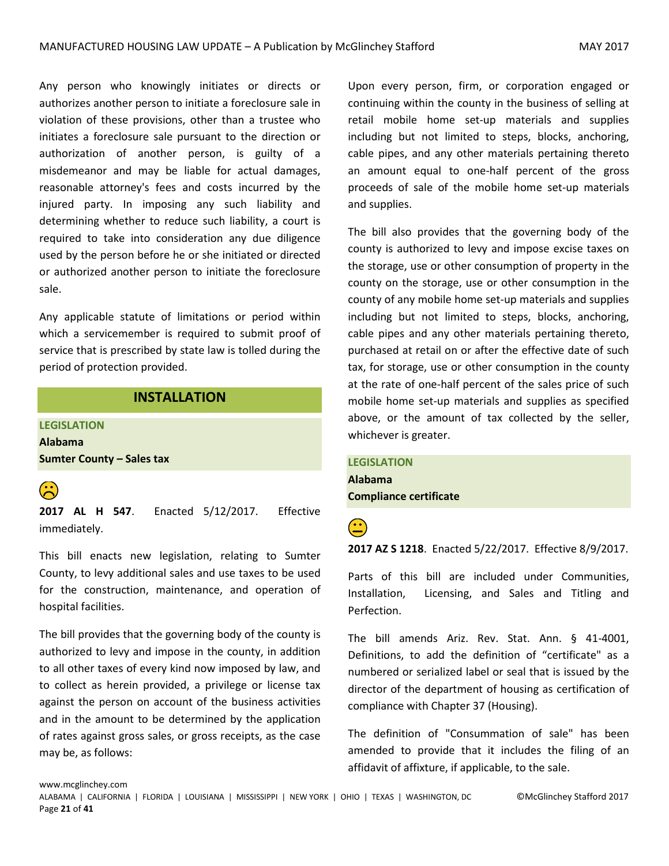Any person who knowingly initiates or directs or authorizes another person to initiate a foreclosure sale in violation of these provisions, other than a trustee who initiates a foreclosure sale pursuant to the direction or authorization of another person, is guilty of a misdemeanor and may be liable for actual damages, reasonable attorney's fees and costs incurred by the injured party. In imposing any such liability and determining whether to reduce such liability, a court is required to take into consideration any due diligence used by the person before he or she initiated or directed or authorized another person to initiate the foreclosure sale.

Any applicable statute of limitations or period within which a servicemember is required to submit proof of service that is prescribed by state law is tolled during the period of protection provided.

### **INSTALLATION**

<span id="page-20-0"></span>**LEGISLATION Alabama Sumter County – Sales tax**



 **2017 AL H 547**. Enacted 5/12/2017. Effective immediately.

This bill enacts new legislation, relating to Sumter County, to levy additional sales and use taxes to be used for the construction, maintenance, and operation of hospital facilities.

The bill provides that the governing body of the county is authorized to levy and impose in the county, in addition to all other taxes of every kind now imposed by law, and to collect as herein provided, a privilege or license tax against the person on account of the business activities and in the amount to be determined by the application of rates against gross sales, or gross receipts, as the case may be, as follows:

Upon every person, firm, or corporation engaged or continuing within the county in the business of selling at retail mobile home set-up materials and supplies including but not limited to steps, blocks, anchoring, cable pipes, and any other materials pertaining thereto an amount equal to one-half percent of the gross proceeds of sale of the mobile home set-up materials and supplies.

The bill also provides that the governing body of the county is authorized to levy and impose excise taxes on the storage, use or other consumption of property in the county on the storage, use or other consumption in the county of any mobile home set-up materials and supplies including but not limited to steps, blocks, anchoring, cable pipes and any other materials pertaining thereto, purchased at retail on or after the effective date of such tax, for storage, use or other consumption in the county at the rate of one-half percent of the sales price of such mobile home set-up materials and supplies as specified above, or the amount of tax collected by the seller, whichever is greater.

### **LEGISLATION Alabama Compliance certificate**

 **2017 AZ S 1218**. Enacted 5/22/2017. Effective 8/9/2017.

Parts of this bill are included under Communities, Installation, Licensing, and Sales and Titling and Perfection.

The bill amends Ariz. Rev. Stat. Ann. § 41-4001, Definitions, to add the definition of "certificate" as a numbered or serialized label or seal that is issued by the director of the department of housing as certification of compliance with Chapter 37 (Housing).

The definition of "Consummation of sale" has been amended to provide that it includes the filing of an affidavit of affixture, if applicable, to the sale.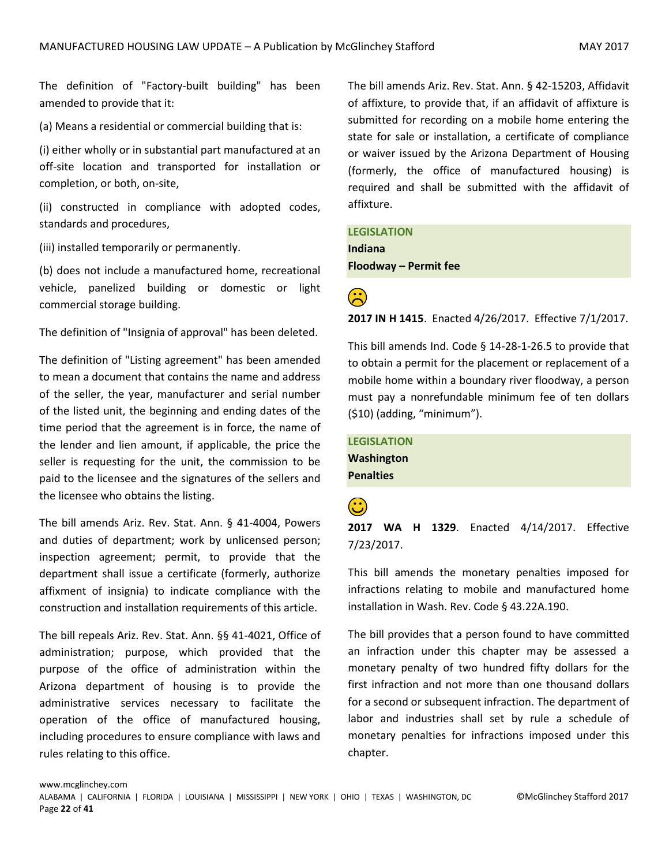The definition of "Factory-built building" has been amended to provide that it:

(a) Means a residential or commercial building that is:

(i) either wholly or in substantial part manufactured at an off-site location and transported for installation or completion, or both, on-site,

(ii) constructed in compliance with adopted codes, standards and procedures,

(iii) installed temporarily or permanently.

(b) does not include a manufactured home, recreational vehicle, panelized building or domestic or light commercial storage building.

The definition of "Insignia of approval" has been deleted.

The definition of "Listing agreement" has been amended to mean a document that contains the name and address of the seller, the year, manufacturer and serial number of the listed unit, the beginning and ending dates of the time period that the agreement is in force, the name of the lender and lien amount, if applicable, the price the seller is requesting for the unit, the commission to be paid to the licensee and the signatures of the sellers and the licensee who obtains the listing.

The bill amends Ariz. Rev. Stat. Ann. § 41-4004, Powers and duties of department; work by unlicensed person; inspection agreement; permit, to provide that the department shall issue a certificate (formerly, authorize affixment of insignia) to indicate compliance with the construction and installation requirements of this article.

The bill repeals Ariz. Rev. Stat. Ann. §§ 41-4021, Office of administration; purpose, which provided that the purpose of the office of administration within the Arizona department of housing is to provide the administrative services necessary to facilitate the operation of the office of manufactured housing, including procedures to ensure compliance with laws and rules relating to this office.

The bill amends Ariz. Rev. Stat. Ann. § 42-15203, Affidavit of affixture, to provide that, if an affidavit of affixture is submitted for recording on a mobile home entering the state for sale or installation, a certificate of compliance or waiver issued by the Arizona Department of Housing (formerly, the office of manufactured housing) is required and shall be submitted with the affidavit of affixture.

**LEGISLATION Indiana Floodway – Permit fee**



**<sup>2</sup>**<br>**2017 IN H 1415**. Enacted 4/26/2017. Effective 7/1/2017.

This bill amends Ind. Code § 14-28-1-26.5 to provide that to obtain a permit for the placement or replacement of a mobile home within a boundary river floodway, a person must pay a nonrefundable minimum fee of ten dollars (\$10) (adding, "minimum").

**LEGISLATION Washington Penalties**

 **2017 WA H 1329**. Enacted 4/14/2017. Effective 7/23/2017.

This bill amends the monetary penalties imposed for infractions relating to mobile and manufactured home installation in Wash. Rev. Code § 43.22A.190.

The bill provides that a person found to have committed an infraction under this chapter may be assessed a monetary penalty of two hundred fifty dollars for the first infraction and not more than one thousand dollars for a second or subsequent infraction. The department of labor and industries shall set by rule a schedule of monetary penalties for infractions imposed under this chapter.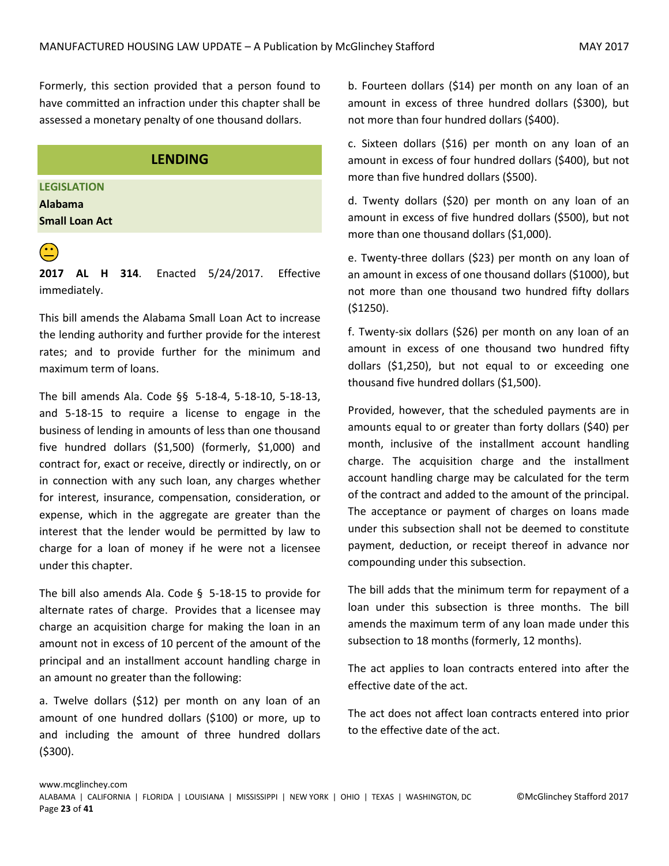Formerly, this section provided that a person found to have committed an infraction under this chapter shall be assessed a monetary penalty of one thousand dollars.

#### **LENDING**

<span id="page-22-0"></span>**LEGISLATION**

**Alabama Small Loan Act** 



**2017 AL H 314**. Enacted 5/24/2017. Effective immediately.

This bill amends the Alabama Small Loan Act to increase the lending authority and further provide for the interest rates; and to provide further for the minimum and maximum term of loans.

The bill amends Ala. Code §§ 5-18-4, 5-18-10, 5-18-13, and 5-18-15 to require a license to engage in the business of lending in amounts of less than one thousand five hundred dollars (\$1,500) (formerly, \$1,000) and contract for, exact or receive, directly or indirectly, on or in connection with any such loan, any charges whether for interest, insurance, compensation, consideration, or expense, which in the aggregate are greater than the interest that the lender would be permitted by law to charge for a loan of money if he were not a licensee under this chapter.

The bill also amends Ala. Code § 5-18-15 to provide for alternate rates of charge. Provides that a licensee may charge an acquisition charge for making the loan in an amount not in excess of 10 percent of the amount of the principal and an installment account handling charge in an amount no greater than the following:

a. Twelve dollars (\$12) per month on any loan of an amount of one hundred dollars (\$100) or more, up to and including the amount of three hundred dollars (\$300).

b. Fourteen dollars (\$14) per month on any loan of an amount in excess of three hundred dollars (\$300), but not more than four hundred dollars (\$400).

c. Sixteen dollars (\$16) per month on any loan of an amount in excess of four hundred dollars (\$400), but not more than five hundred dollars (\$500).

d. Twenty dollars (\$20) per month on any loan of an amount in excess of five hundred dollars (\$500), but not more than one thousand dollars (\$1,000).

e. Twenty-three dollars (\$23) per month on any loan of an amount in excess of one thousand dollars (\$1000), but not more than one thousand two hundred fifty dollars (\$1250).

f. Twenty-six dollars (\$26) per month on any loan of an amount in excess of one thousand two hundred fifty dollars (\$1,250), but not equal to or exceeding one thousand five hundred dollars (\$1,500).

Provided, however, that the scheduled payments are in amounts equal to or greater than forty dollars (\$40) per month, inclusive of the installment account handling charge. The acquisition charge and the installment account handling charge may be calculated for the term of the contract and added to the amount of the principal. The acceptance or payment of charges on loans made under this subsection shall not be deemed to constitute payment, deduction, or receipt thereof in advance nor compounding under this subsection.

The bill adds that the minimum term for repayment of a loan under this subsection is three months. The bill amends the maximum term of any loan made under this subsection to 18 months (formerly, 12 months).

The act applies to loan contracts entered into after the effective date of the act.

The act does not affect loan contracts entered into prior to the effective date of the act.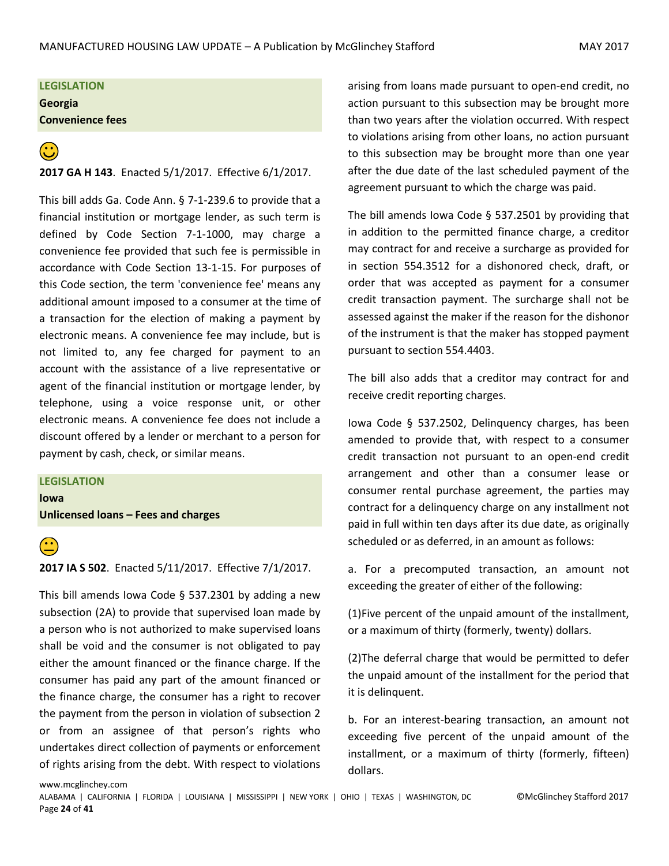**LEGISLATION Georgia**

**Convenience fees** 

# **<sup>2</sup>**<br>**2017 GA H 143**. Enacted 5/1/2017. Effective 6/1/2017.

This bill adds Ga. Code Ann. § 7-1-239.6 to provide that a financial institution or mortgage lender, as such term is defined by Code Section 7-1-1000, may charge a convenience fee provided that such fee is permissible in accordance with Code Section 13-1-15. For purposes of this Code section, the term 'convenience fee' means any additional amount imposed to a consumer at the time of a transaction for the election of making a payment by electronic means. A convenience fee may include, but is not limited to, any fee charged for payment to an account with the assistance of a live representative or agent of the financial institution or mortgage lender, by telephone, using a voice response unit, or other electronic means. A convenience fee does not include a discount offered by a lender or merchant to a person for payment by cash, check, or similar means.

#### **LEGISLATION**

www.mcglinchey.com

**Iowa**

**Unlicensed loans – Fees and charges** 



 **2017 IA S 502**. Enacted 5/11/2017. Effective 7/1/2017.

This bill amends Iowa Code § 537.2301 by adding a new subsection (2A) to provide that supervised loan made by a person who is not authorized to make supervised loans shall be void and the consumer is not obligated to pay either the amount financed or the finance charge. If the consumer has paid any part of the amount financed or the finance charge, the consumer has a right to recover the payment from the person in violation of subsection 2 or from an assignee of that person's rights who undertakes direct collection of payments or enforcement of rights arising from the debt. With respect to violations arising from loans made pursuant to open-end credit, no action pursuant to this subsection may be brought more than two years after the violation occurred. With respect to violations arising from other loans, no action pursuant to this subsection may be brought more than one year after the due date of the last scheduled payment of the agreement pursuant to which the charge was paid.

The bill amends Iowa Code § 537.2501 by providing that in addition to the permitted finance charge, a creditor may contract for and receive a surcharge as provided for in section 554.3512 for a dishonored check, draft, or order that was accepted as payment for a consumer credit transaction payment. The surcharge shall not be assessed against the maker if the reason for the dishonor of the instrument is that the maker has stopped payment pursuant to section 554.4403.

The bill also adds that a creditor may contract for and receive credit reporting charges.

Iowa Code § 537.2502, Delinquency charges, has been amended to provide that, with respect to a consumer credit transaction not pursuant to an open-end credit arrangement and other than a consumer lease or consumer rental purchase agreement, the parties may contract for a delinquency charge on any installment not paid in full within ten days after its due date, as originally scheduled or as deferred, in an amount as follows:

a. For a precomputed transaction, an amount not exceeding the greater of either of the following:

(1)Five percent of the unpaid amount of the installment, or a maximum of thirty (formerly, twenty) dollars.

(2)The deferral charge that would be permitted to defer the unpaid amount of the installment for the period that it is delinquent.

b. For an interest-bearing transaction, an amount not exceeding five percent of the unpaid amount of the installment, or a maximum of thirty (formerly, fifteen) dollars.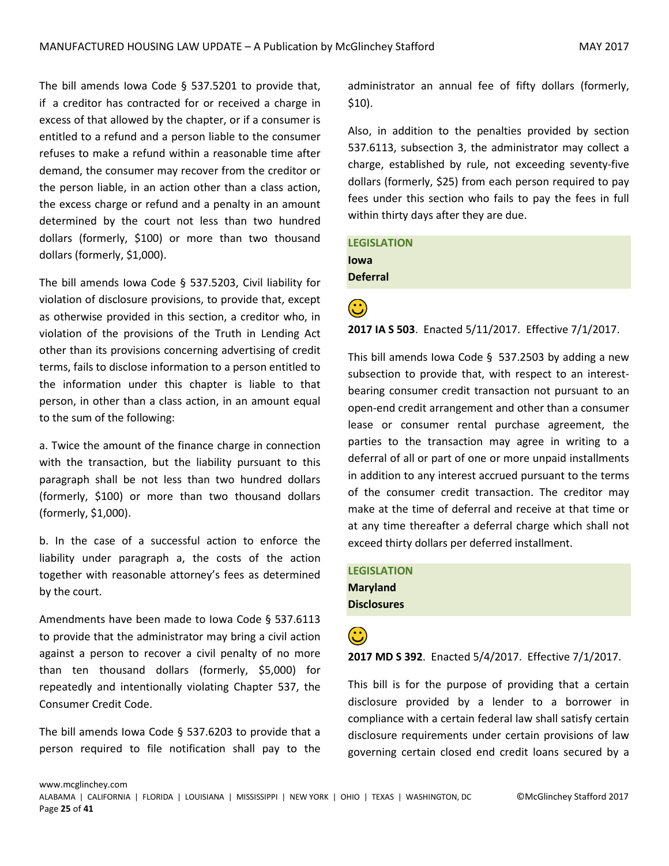The bill amends Iowa Code § 537.5201 to provide that, if a creditor has contracted for or received a charge in excess of that allowed by the chapter, or if a consumer is entitled to a refund and a person liable to the consumer refuses to make a refund within a reasonable time after demand, the consumer may recover from the creditor or the person liable, in an action other than a class action, the excess charge or refund and a penalty in an amount determined by the court not less than two hundred dollars (formerly, \$100) or more than two thousand dollars (formerly, \$1,000).

The bill amends Iowa Code § 537.5203, Civil liability for violation of disclosure provisions, to provide that, except as otherwise provided in this section, a creditor who, in violation of the provisions of the Truth in Lending Act other than its provisions concerning advertising of credit terms, fails to disclose information to a person entitled to the information under this chapter is liable to that person, in other than a class action, in an amount equal to the sum of the following:

a. Twice the amount of the finance charge in connection with the transaction, but the liability pursuant to this paragraph shall be not less than two hundred dollars (formerly, \$100) or more than two thousand dollars (formerly, \$1,000).

b. In the case of a successful action to enforce the liability under paragraph a, the costs of the action together with reasonable attorney's fees as determined by the court.

Amendments have been made to Iowa Code § 537.6113 to provide that the administrator may bring a civil action against a person to recover a civil penalty of no more than ten thousand dollars (formerly, \$5,000) for repeatedly and intentionally violating Chapter 537, the Consumer Credit Code.

The bill amends Iowa Code § 537.6203 to provide that a person required to file notification shall pay to the administrator an annual fee of fifty dollars (formerly, \$10).

Also, in addition to the penalties provided by section 537.6113, subsection 3, the administrator may collect a charge, established by rule, not exceeding seventy-five dollars (formerly, \$25) from each person required to pay fees under this section who fails to pay the fees in full within thirty days after they are due.

**LEGISLATION Iowa Deferral** 

**<sup>2</sup>**<br>**2017 IA S 503**. Enacted 5/11/2017. Effective 7/1/2017.

This bill amends Iowa Code § 537.2503 by adding a new subsection to provide that, with respect to an interestbearing consumer credit transaction not pursuant to an open-end credit arrangement and other than a consumer lease or consumer rental purchase agreement, the parties to the transaction may agree in writing to a deferral of all or part of one or more unpaid installments in addition to any interest accrued pursuant to the terms of the consumer credit transaction. The creditor may make at the time of deferral and receive at that time or at any time thereafter a deferral charge which shall not exceed thirty dollars per deferred installment.

**LEGISLATION Maryland Disclosures** 

**2017 MD S 392.** Enacted 5/4/2017. Effective 7/1/2017.

This bill is for the purpose of providing that a certain disclosure provided by a lender to a borrower in compliance with a certain federal law shall satisfy certain disclosure requirements under certain provisions of law governing certain closed end credit loans secured by a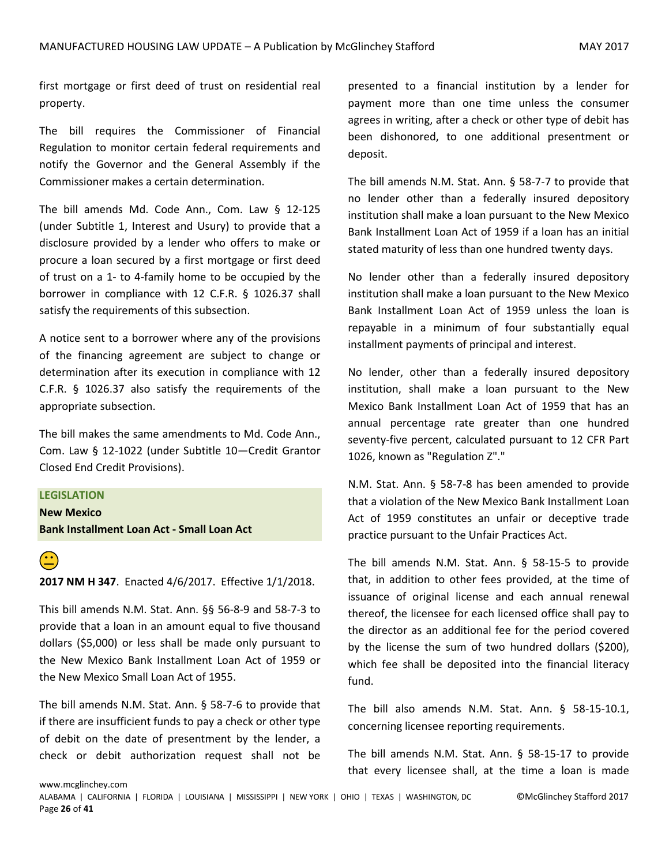first mortgage or first deed of trust on residential real property.

The bill requires the Commissioner of Financial Regulation to monitor certain federal requirements and notify the Governor and the General Assembly if the Commissioner makes a certain determination.

The bill amends Md. Code Ann., Com. Law § 12-125 (under Subtitle 1, Interest and Usury) to provide that a disclosure provided by a lender who offers to make or procure a loan secured by a first mortgage or first deed of trust on a 1- to 4-family home to be occupied by the borrower in compliance with 12 C.F.R. § 1026.37 shall satisfy the requirements of this subsection.

A notice sent to a borrower where any of the provisions of the financing agreement are subject to change or determination after its execution in compliance with 12 C.F.R. § 1026.37 also satisfy the requirements of the appropriate subsection.

The bill makes the same amendments to Md. Code Ann., Com. Law § 12-1022 (under Subtitle 10—Credit Grantor Closed End Credit Provisions).

**LEGISLATION**

**New Mexico Bank Installment Loan Act - Small Loan Act** 



 **2017 NM H 347**. Enacted 4/6/2017. Effective 1/1/2018.

This bill amends N.M. Stat. Ann. §§ 56-8-9 and 58-7-3 to provide that a loan in an amount equal to five thousand dollars (\$5,000) or less shall be made only pursuant to the New Mexico Bank Installment Loan Act of 1959 or the New Mexico Small Loan Act of 1955.

The bill amends N.M. Stat. Ann. § 58-7-6 to provide that if there are insufficient funds to pay a check or other type of debit on the date of presentment by the lender, a check or debit authorization request shall not be

presented to a financial institution by a lender for payment more than one time unless the consumer agrees in writing, after a check or other type of debit has been dishonored, to one additional presentment or deposit.

The bill amends N.M. Stat. Ann. § 58-7-7 to provide that no lender other than a federally insured depository institution shall make a loan pursuant to the New Mexico Bank Installment Loan Act of 1959 if a loan has an initial stated maturity of less than one hundred twenty days.

No lender other than a federally insured depository institution shall make a loan pursuant to the New Mexico Bank Installment Loan Act of 1959 unless the loan is repayable in a minimum of four substantially equal installment payments of principal and interest.

No lender, other than a federally insured depository institution, shall make a loan pursuant to the New Mexico Bank Installment Loan Act of 1959 that has an annual percentage rate greater than one hundred seventy-five percent, calculated pursuant to 12 CFR Part 1026, known as "Regulation Z"."

N.M. Stat. Ann. § 58-7-8 has been amended to provide that a violation of the New Mexico Bank Installment Loan Act of 1959 constitutes an unfair or deceptive trade practice pursuant to the Unfair Practices Act.

The bill amends N.M. Stat. Ann. § 58-15-5 to provide that, in addition to other fees provided, at the time of issuance of original license and each annual renewal thereof, the licensee for each licensed office shall pay to the director as an additional fee for the period covered by the license the sum of two hundred dollars (\$200), which fee shall be deposited into the financial literacy fund.

The bill also amends N.M. Stat. Ann. § 58-15-10.1, concerning licensee reporting requirements.

The bill amends N.M. Stat. Ann. § 58-15-17 to provide that every licensee shall, at the time a loan is made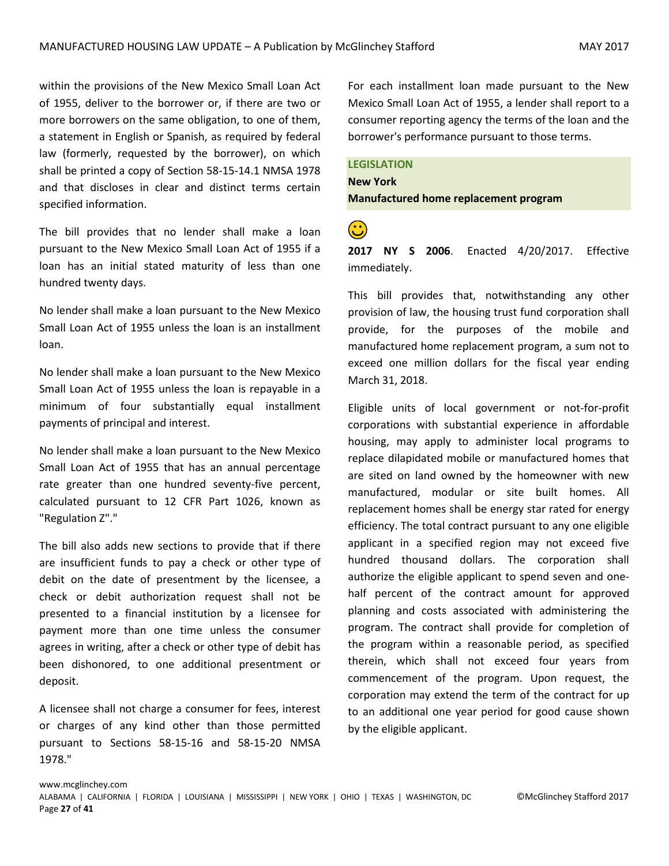within the provisions of the New Mexico Small Loan Act of 1955, deliver to the borrower or, if there are two or more borrowers on the same obligation, to one of them, a statement in English or Spanish, as required by federal law (formerly, requested by the borrower), on which shall be printed a copy of Section 58-15-14.1 NMSA 1978 and that discloses in clear and distinct terms certain specified information.

The bill provides that no lender shall make a loan pursuant to the New Mexico Small Loan Act of 1955 if a loan has an initial stated maturity of less than one hundred twenty days.

No lender shall make a loan pursuant to the New Mexico Small Loan Act of 1955 unless the loan is an installment loan.

No lender shall make a loan pursuant to the New Mexico Small Loan Act of 1955 unless the loan is repayable in a minimum of four substantially equal installment payments of principal and interest.

No lender shall make a loan pursuant to the New Mexico Small Loan Act of 1955 that has an annual percentage rate greater than one hundred seventy-five percent, calculated pursuant to 12 CFR Part 1026, known as "Regulation Z"."

The bill also adds new sections to provide that if there are insufficient funds to pay a check or other type of debit on the date of presentment by the licensee, a check or debit authorization request shall not be presented to a financial institution by a licensee for payment more than one time unless the consumer agrees in writing, after a check or other type of debit has been dishonored, to one additional presentment or deposit.

A licensee shall not charge a consumer for fees, interest or charges of any kind other than those permitted pursuant to Sections 58-15-16 and 58-15-20 NMSA 1978."

For each installment loan made pursuant to the New Mexico Small Loan Act of 1955, a lender shall report to a consumer reporting agency the terms of the loan and the borrower's performance pursuant to those terms.

#### **LEGISLATION**

**New York Manufactured home replacement program** 

 **2017 NY S 2006**. Enacted 4/20/2017. Effective immediately.

This bill provides that, notwithstanding any other provision of law, the housing trust fund corporation shall provide, for the purposes of the mobile and manufactured home replacement program, a sum not to exceed one million dollars for the fiscal year ending March 31, 2018.

Eligible units of local government or not-for-profit corporations with substantial experience in affordable housing, may apply to administer local programs to replace dilapidated mobile or manufactured homes that are sited on land owned by the homeowner with new manufactured, modular or site built homes. All replacement homes shall be energy star rated for energy efficiency. The total contract pursuant to any one eligible applicant in a specified region may not exceed five hundred thousand dollars. The corporation shall authorize the eligible applicant to spend seven and onehalf percent of the contract amount for approved planning and costs associated with administering the program. The contract shall provide for completion of the program within a reasonable period, as specified therein, which shall not exceed four years from commencement of the program. Upon request, the corporation may extend the term of the contract for up to an additional one year period for good cause shown by the eligible applicant.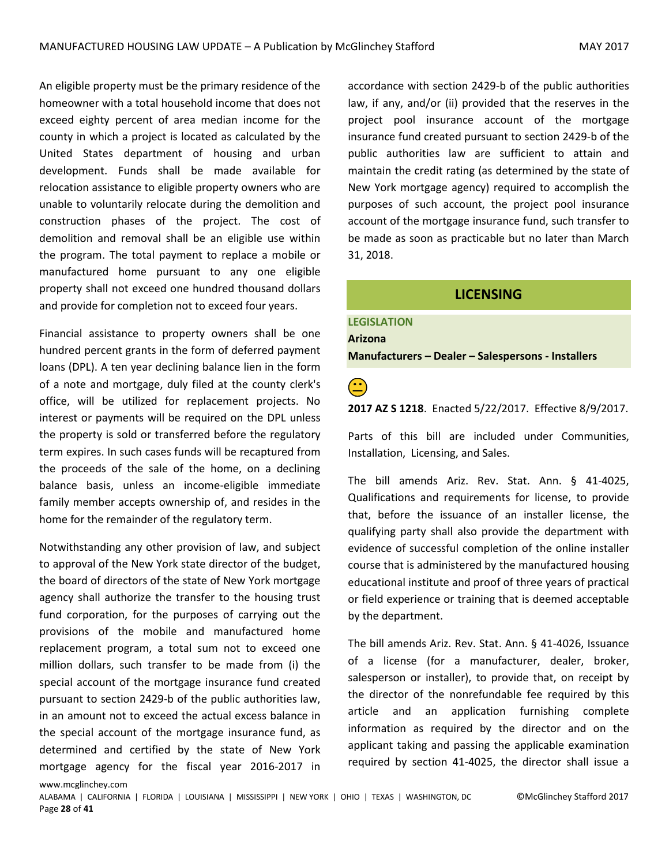An eligible property must be the primary residence of the homeowner with a total household income that does not exceed eighty percent of area median income for the county in which a project is located as calculated by the United States department of housing and urban development. Funds shall be made available for relocation assistance to eligible property owners who are unable to voluntarily relocate during the demolition and construction phases of the project. The cost of demolition and removal shall be an eligible use within the program. The total payment to replace a mobile or manufactured home pursuant to any one eligible property shall not exceed one hundred thousand dollars and provide for completion not to exceed four years.

Financial assistance to property owners shall be one hundred percent grants in the form of deferred payment loans (DPL). A ten year declining balance lien in the form of a note and mortgage, duly filed at the county clerk's office, will be utilized for replacement projects. No interest or payments will be required on the DPL unless the property is sold or transferred before the regulatory term expires. In such cases funds will be recaptured from the proceeds of the sale of the home, on a declining balance basis, unless an income-eligible immediate family member accepts ownership of, and resides in the home for the remainder of the regulatory term.

Notwithstanding any other provision of law, and subject to approval of the New York state director of the budget, the board of directors of the state of New York mortgage agency shall authorize the transfer to the housing trust fund corporation, for the purposes of carrying out the provisions of the mobile and manufactured home replacement program, a total sum not to exceed one million dollars, such transfer to be made from (i) the special account of the mortgage insurance fund created pursuant to section 2429-b of the public authorities law, in an amount not to exceed the actual excess balance in the special account of the mortgage insurance fund, as determined and certified by the state of New York mortgage agency for the fiscal year 2016-2017 in

www.mcglinchey.com

accordance with section 2429-b of the public authorities law, if any, and/or (ii) provided that the reserves in the project pool insurance account of the mortgage insurance fund created pursuant to section 2429-b of the public authorities law are sufficient to attain and maintain the credit rating (as determined by the state of New York mortgage agency) required to accomplish the purposes of such account, the project pool insurance account of the mortgage insurance fund, such transfer to be made as soon as practicable but no later than March 31, 2018.

#### **LICENSING**

#### <span id="page-27-0"></span>**LEGISLATION Arizona**

**Manufacturers – Dealer – Salespersons - Installers**

 **2017 AZ S 1218**. Enacted 5/22/2017. Effective 8/9/2017.

Parts of this bill are included under Communities, Installation, Licensing, and Sales.

The bill amends Ariz. Rev. Stat. Ann. § 41-4025, Qualifications and requirements for license, to provide that, before the issuance of an installer license, the qualifying party shall also provide the department with evidence of successful completion of the online installer course that is administered by the manufactured housing educational institute and proof of three years of practical or field experience or training that is deemed acceptable by the department.

The bill amends Ariz. Rev. Stat. Ann. § 41-4026, Issuance of a license (for a manufacturer, dealer, broker, salesperson or installer), to provide that, on receipt by the director of the nonrefundable fee required by this article and an application furnishing complete information as required by the director and on the applicant taking and passing the applicable examination required by section 41-4025, the director shall issue a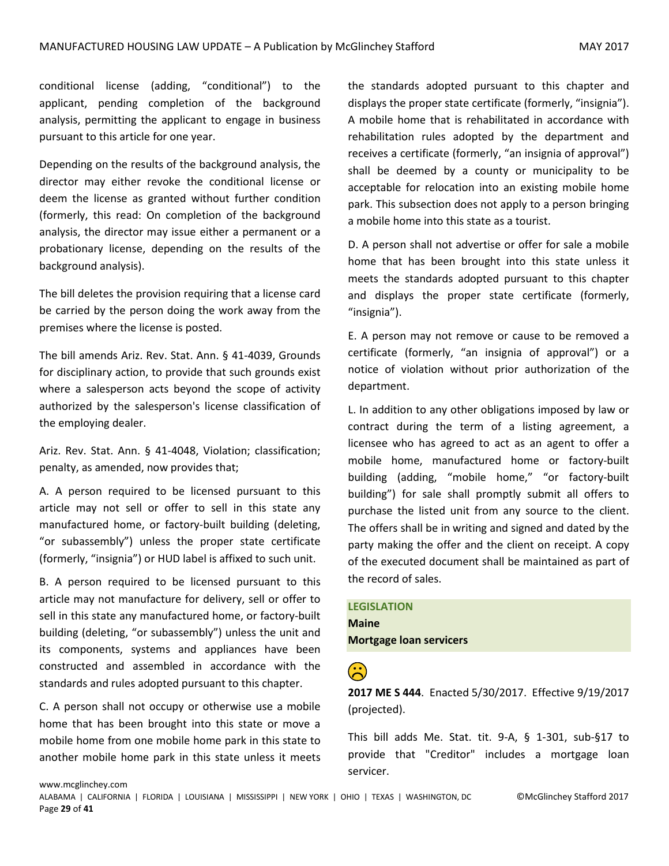conditional license (adding, "conditional") to the applicant, pending completion of the background analysis, permitting the applicant to engage in business pursuant to this article for one year.

Depending on the results of the background analysis, the director may either revoke the conditional license or deem the license as granted without further condition (formerly, this read: On completion of the background analysis, the director may issue either a permanent or a probationary license, depending on the results of the background analysis).

The bill deletes the provision requiring that a license card be carried by the person doing the work away from the premises where the license is posted.

The bill amends Ariz. Rev. Stat. Ann. § 41-4039, Grounds for disciplinary action, to provide that such grounds exist where a salesperson acts beyond the scope of activity authorized by the salesperson's license classification of the employing dealer.

Ariz. Rev. Stat. Ann. § 41-4048, Violation; classification; penalty, as amended, now provides that;

A. A person required to be licensed pursuant to this article may not sell or offer to sell in this state any manufactured home, or factory-built building (deleting, "or subassembly") unless the proper state certificate (formerly, "insignia") or HUD label is affixed to such unit.

B. A person required to be licensed pursuant to this article may not manufacture for delivery, sell or offer to sell in this state any manufactured home, or factory-built building (deleting, "or subassembly") unless the unit and its components, systems and appliances have been constructed and assembled in accordance with the standards and rules adopted pursuant to this chapter.

C. A person shall not occupy or otherwise use a mobile home that has been brought into this state or move a mobile home from one mobile home park in this state to another mobile home park in this state unless it meets

the standards adopted pursuant to this chapter and displays the proper state certificate (formerly, "insignia"). A mobile home that is rehabilitated in accordance with rehabilitation rules adopted by the department and receives a certificate (formerly, "an insignia of approval") shall be deemed by a county or municipality to be acceptable for relocation into an existing mobile home park. This subsection does not apply to a person bringing a mobile home into this state as a tourist.

D. A person shall not advertise or offer for sale a mobile home that has been brought into this state unless it meets the standards adopted pursuant to this chapter and displays the proper state certificate (formerly, "insignia").

E. A person may not remove or cause to be removed a certificate (formerly, "an insignia of approval") or a notice of violation without prior authorization of the department.

L. In addition to any other obligations imposed by law or contract during the term of a listing agreement, a licensee who has agreed to act as an agent to offer a mobile home, manufactured home or factory-built building (adding, "mobile home," "or factory-built building") for sale shall promptly submit all offers to purchase the listed unit from any source to the client. The offers shall be in writing and signed and dated by the party making the offer and the client on receipt. A copy of the executed document shall be maintained as part of the record of sales.

#### **LEGISLATION**

**Maine Mortgage loan servicers**

 **2017 ME S 444**. Enacted 5/30/2017. Effective 9/19/2017 (projected).

This bill adds Me. Stat. tit. 9-A, § 1-301, sub-§17 to provide that "Creditor" includes a mortgage loan servicer.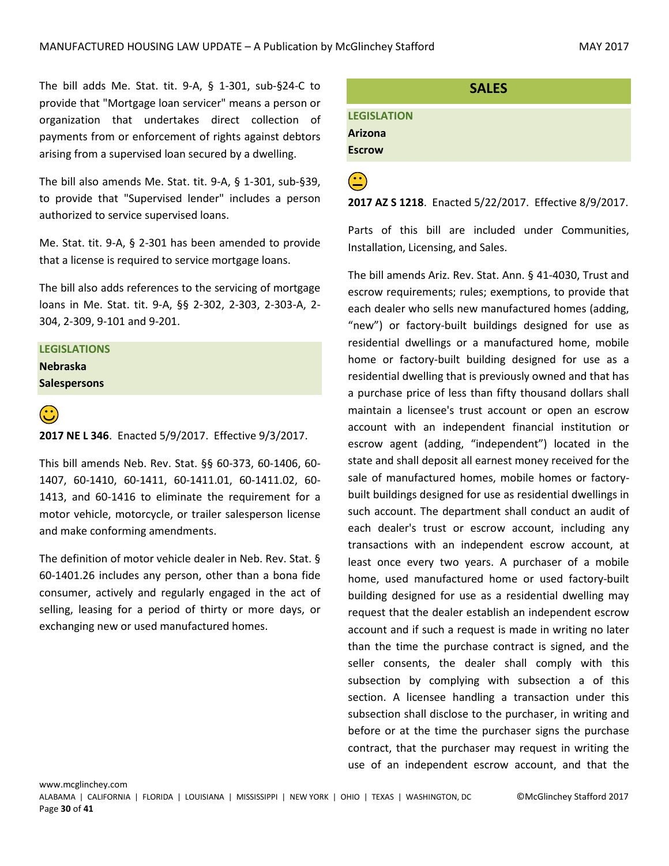The bill adds Me. Stat. tit. 9-A, § 1-301, sub-§24-C to provide that "Mortgage loan servicer" means a person or organization that undertakes direct collection of payments from or enforcement of rights against debtors arising from a supervised loan secured by a dwelling.

The bill also amends Me. Stat. tit. 9-A, § 1-301, sub-§39, to provide that "Supervised lender" includes a person authorized to service supervised loans.

Me. Stat. tit. 9-A, § 2-301 has been amended to provide that a license is required to service mortgage loans.

The bill also adds references to the servicing of mortgage loans in Me. Stat. tit. 9-A, §§ 2-302, 2-303, 2-303-A, 2- 304, 2-309, 9-101 and 9-201.

#### **LEGISLATIONS Nebraska**

**Salespersons**



#### **2017 NE L 346**. Enacted 5/9/2017. Effective 9/3/2017.

This bill amends Neb. Rev. Stat. §§ 60-373, 60-1406, 60- 1407, 60-1410, 60-1411, 60-1411.01, 60-1411.02, 60- 1413, and 60-1416 to eliminate the requirement for a motor vehicle, motorcycle, or trailer salesperson license and make conforming amendments.

The definition of motor vehicle dealer in Neb. Rev. Stat. § 60-1401.26 includes any person, other than a bona fide consumer, actively and regularly engaged in the act of selling, leasing for a period of thirty or more days, or exchanging new or used manufactured homes.

## <span id="page-29-0"></span>**SALES LEGISLATION Arizona Escrow**

**(2017 AZ S 1218**. Enacted 5/22/2017. Effective 8/9/2017.

Parts of this bill are included under Communities, Installation, Licensing, and Sales.

The bill amends Ariz. Rev. Stat. Ann. § 41-4030, Trust and escrow requirements; rules; exemptions, to provide that each dealer who sells new manufactured homes (adding, "new") or factory-built buildings designed for use as residential dwellings or a manufactured home, mobile home or factory-built building designed for use as a residential dwelling that is previously owned and that has a purchase price of less than fifty thousand dollars shall maintain a licensee's trust account or open an escrow account with an independent financial institution or escrow agent (adding, "independent") located in the state and shall deposit all earnest money received for the sale of manufactured homes, mobile homes or factorybuilt buildings designed for use as residential dwellings in such account. The department shall conduct an audit of each dealer's trust or escrow account, including any transactions with an independent escrow account, at least once every two years. A purchaser of a mobile home, used manufactured home or used factory-built building designed for use as a residential dwelling may request that the dealer establish an independent escrow account and if such a request is made in writing no later than the time the purchase contract is signed, and the seller consents, the dealer shall comply with this subsection by complying with subsection a of this section. A licensee handling a transaction under this subsection shall disclose to the purchaser, in writing and before or at the time the purchaser signs the purchase contract, that the purchaser may request in writing the use of an independent escrow account, and that the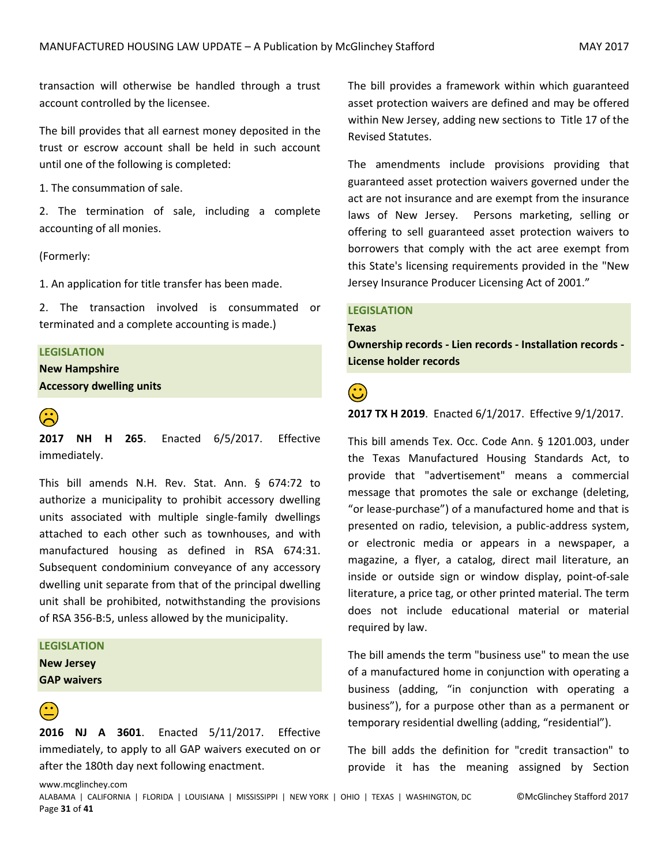transaction will otherwise be handled through a trust account controlled by the licensee.

The bill provides that all earnest money deposited in the trust or escrow account shall be held in such account until one of the following is completed:

1. The consummation of sale.

2. The termination of sale, including a complete accounting of all monies.

(Formerly:

1. An application for title transfer has been made.

2. The transaction involved is consummated or terminated and a complete accounting is made.)

#### **LEGISLATION**

**New Hampshire Accessory dwelling units**



**2017 NH H 265**. Enacted 6/5/2017. Effective immediately.

This bill amends N.H. Rev. Stat. Ann. § 674:72 to authorize a municipality to prohibit accessory dwelling units associated with multiple single-family dwellings attached to each other such as townhouses, and with manufactured housing as defined in RSA 674:31. Subsequent condominium conveyance of any accessory dwelling unit separate from that of the principal dwelling unit shall be prohibited, notwithstanding the provisions of RSA 356-B:5, unless allowed by the municipality.

#### **LEGISLATION**

**New Jersey GAP waivers**

 **2016 NJ A 3601**. Enacted 5/11/2017. Effective immediately, to apply to all GAP waivers executed on or after the 180th day next following enactment.

The bill provides a framework within which guaranteed asset protection waivers are defined and may be offered within New Jersey, adding new sections to Title 17 of the Revised Statutes.

The amendments include provisions providing that guaranteed asset protection waivers governed under the act are not insurance and are exempt from the insurance laws of New Jersey. Persons marketing, selling or offering to sell guaranteed asset protection waivers to borrowers that comply with the act aree exempt from this State's licensing requirements provided in the "New Jersey Insurance Producer Licensing Act of 2001."

#### **LEGISLATION**

#### **Texas**

**Ownership records - Lien records - Installation records - License holder records**

#### **2017 TX H 2019**. Enacted 6/1/2017. Effective 9/1/2017.

This bill amends Tex. Occ. Code Ann. § 1201.003, under the Texas Manufactured Housing Standards Act, to provide that "advertisement" means a commercial message that promotes the sale or exchange (deleting, "or lease-purchase") of a manufactured home and that is presented on radio, television, a public-address system, or electronic media or appears in a newspaper, a magazine, a flyer, a catalog, direct mail literature, an inside or outside sign or window display, point-of-sale literature, a price tag, or other printed material. The term does not include educational material or material required by law.

The bill amends the term "business use" to mean the use of a manufactured home in conjunction with operating a business (adding, "in conjunction with operating a business"), for a purpose other than as a permanent or temporary residential dwelling (adding, "residential").

The bill adds the definition for "credit transaction" to provide it has the meaning assigned by Section

www.mcglinchey.com

ALABAMA | CALIFORNIA | FLORIDA | LOUISIANA | MISSISSIPPI | NEW YORK | OHIO | TEXAS | WASHINGTON, DC ©McGlinchey Stafford 2017 Page **31** of **41**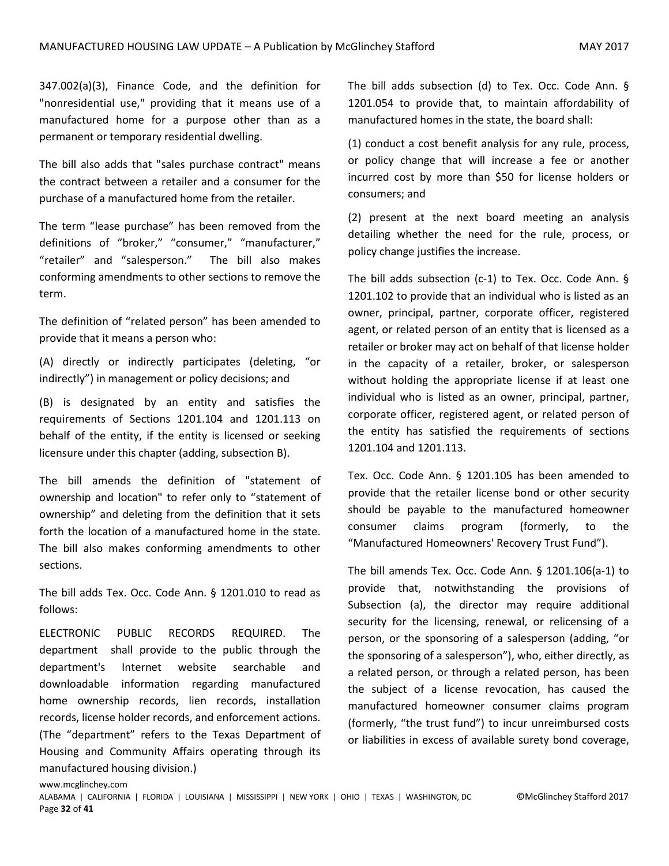347.002(a)(3), Finance Code, and the definition for "nonresidential use," providing that it means use of a manufactured home for a purpose other than as a permanent or temporary residential dwelling.

The bill also adds that "sales purchase contract" means the contract between a retailer and a consumer for the purchase of a manufactured home from the retailer.

The term "lease purchase" has been removed from the definitions of "broker," "consumer," "manufacturer," "retailer" and "salesperson." The bill also makes conforming amendments to other sections to remove the term.

The definition of "related person" has been amended to provide that it means a person who:

(A) directly or indirectly participates (deleting, "or indirectly") in management or policy decisions; and

(B) is designated by an entity and satisfies the requirements of Sections 1201.104 and 1201.113 on behalf of the entity, if the entity is licensed or seeking licensure under this chapter (adding, subsection B).

The bill amends the definition of "statement of ownership and location" to refer only to "statement of ownership" and deleting from the definition that it sets forth the location of a manufactured home in the state. The bill also makes conforming amendments to other sections.

The bill adds Tex. Occ. Code Ann. § 1201.010 to read as follows:

ELECTRONIC PUBLIC RECORDS REQUIRED. The department shall provide to the public through the department's Internet website searchable and downloadable information regarding manufactured home ownership records, lien records, installation records, license holder records, and enforcement actions. (The "department" refers to the Texas Department of Housing and Community Affairs operating through its manufactured housing division.)

The bill adds subsection (d) to Tex. Occ. Code Ann. § 1201.054 to provide that, to maintain affordability of manufactured homes in the state, the board shall:

(1) conduct a cost benefit analysis for any rule, process, or policy change that will increase a fee or another incurred cost by more than \$50 for license holders or consumers; and

(2) present at the next board meeting an analysis detailing whether the need for the rule, process, or policy change justifies the increase.

The bill adds subsection (c-1) to Tex. Occ. Code Ann. § 1201.102 to provide that an individual who is listed as an owner, principal, partner, corporate officer, registered agent, or related person of an entity that is licensed as a retailer or broker may act on behalf of that license holder in the capacity of a retailer, broker, or salesperson without holding the appropriate license if at least one individual who is listed as an owner, principal, partner, corporate officer, registered agent, or related person of the entity has satisfied the requirements of sections 1201.104 and 1201.113.

Tex. Occ. Code Ann. § 1201.105 has been amended to provide that the retailer license bond or other security should be payable to the manufactured homeowner consumer claims program (formerly, to the "Manufactured Homeowners' Recovery Trust Fund").

The bill amends Tex. Occ. Code Ann. § 1201.106(a-1) to provide that, notwithstanding the provisions of Subsection (a), the director may require additional security for the licensing, renewal, or relicensing of a person, or the sponsoring of a salesperson (adding, "or the sponsoring of a salesperson"), who, either directly, as a related person, or through a related person, has been the subject of a license revocation, has caused the manufactured homeowner consumer claims program (formerly, "the trust fund") to incur unreimbursed costs or liabilities in excess of available surety bond coverage,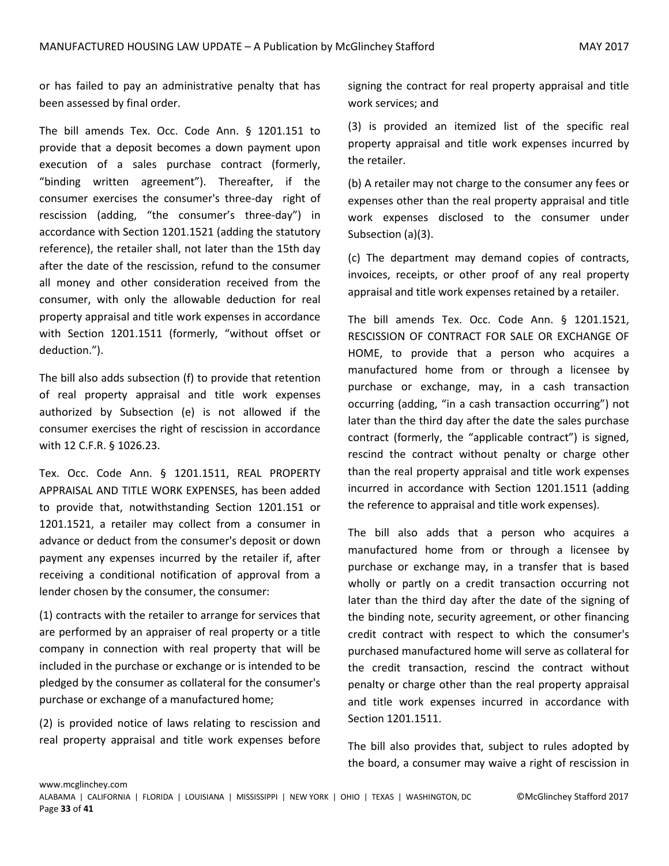or has failed to pay an administrative penalty that has been assessed by final order.

The bill amends Tex. Occ. Code Ann. § 1201.151 to provide that a deposit becomes a down payment upon execution of a sales purchase contract (formerly, "binding written agreement"). Thereafter, if the consumer exercises the consumer's three-day right of rescission (adding, "the consumer's three-day") in accordance with Section 1201.1521 (adding the statutory reference), the retailer shall, not later than the 15th day after the date of the rescission, refund to the consumer all money and other consideration received from the consumer, with only the allowable deduction for real property appraisal and title work expenses in accordance with Section 1201.1511 (formerly, "without offset or deduction.").

The bill also adds subsection (f) to provide that retention of real property appraisal and title work expenses authorized by Subsection (e) is not allowed if the consumer exercises the right of rescission in accordance with 12 C.F.R. § 1026.23.

Tex. Occ. Code Ann. § 1201.1511, REAL PROPERTY APPRAISAL AND TITLE WORK EXPENSES, has been added to provide that, notwithstanding Section 1201.151 or 1201.1521, a retailer may collect from a consumer in advance or deduct from the consumer's deposit or down payment any expenses incurred by the retailer if, after receiving a conditional notification of approval from a lender chosen by the consumer, the consumer:

(1) contracts with the retailer to arrange for services that are performed by an appraiser of real property or a title company in connection with real property that will be included in the purchase or exchange or is intended to be pledged by the consumer as collateral for the consumer's purchase or exchange of a manufactured home;

(2) is provided notice of laws relating to rescission and real property appraisal and title work expenses before

signing the contract for real property appraisal and title work services; and

(3) is provided an itemized list of the specific real property appraisal and title work expenses incurred by the retailer.

(b) A retailer may not charge to the consumer any fees or expenses other than the real property appraisal and title work expenses disclosed to the consumer under Subsection (a)(3).

(c) The department may demand copies of contracts, invoices, receipts, or other proof of any real property appraisal and title work expenses retained by a retailer.

The bill amends Tex. Occ. Code Ann. § 1201.1521, RESCISSION OF CONTRACT FOR SALE OR EXCHANGE OF HOME, to provide that a person who acquires a manufactured home from or through a licensee by purchase or exchange, may, in a cash transaction occurring (adding, "in a cash transaction occurring") not later than the third day after the date the sales purchase contract (formerly, the "applicable contract") is signed, rescind the contract without penalty or charge other than the real property appraisal and title work expenses incurred in accordance with Section 1201.1511 (adding the reference to appraisal and title work expenses).

The bill also adds that a person who acquires a manufactured home from or through a licensee by purchase or exchange may, in a transfer that is based wholly or partly on a credit transaction occurring not later than the third day after the date of the signing of the binding note, security agreement, or other financing credit contract with respect to which the consumer's purchased manufactured home will serve as collateral for the credit transaction, rescind the contract without penalty or charge other than the real property appraisal and title work expenses incurred in accordance with Section 1201.1511.

The bill also provides that, subject to rules adopted by the board, a consumer may waive a right of rescission in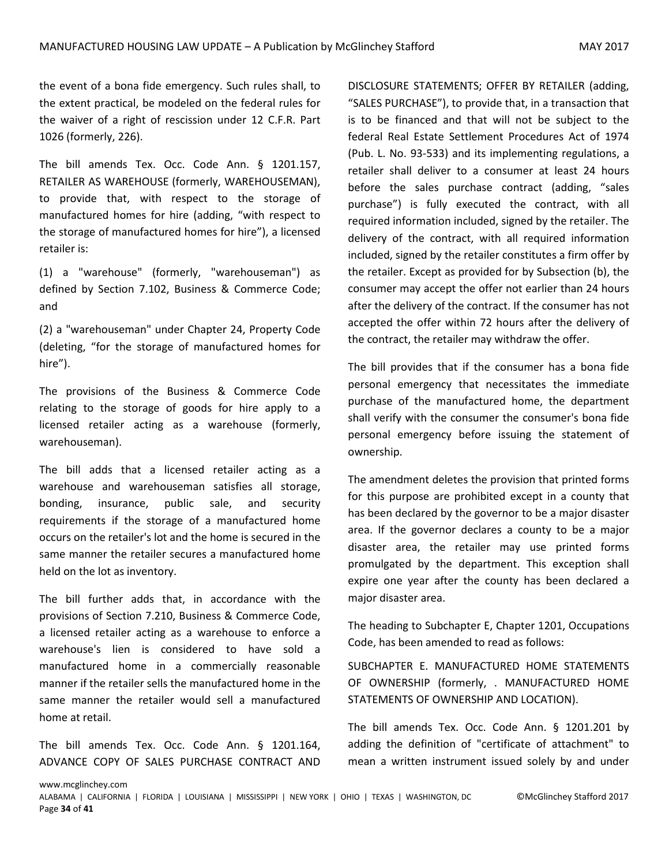the event of a bona fide emergency. Such rules shall, to the extent practical, be modeled on the federal rules for the waiver of a right of rescission under 12 C.F.R. Part 1026 (formerly, 226).

The bill amends Tex. Occ. Code Ann. § 1201.157, RETAILER AS WAREHOUSE (formerly, WAREHOUSEMAN), to provide that, with respect to the storage of manufactured homes for hire (adding, "with respect to the storage of manufactured homes for hire"), a licensed retailer is:

(1) a "warehouse" (formerly, "warehouseman") as defined by Section 7.102, Business & Commerce Code; and

(2) a "warehouseman" under Chapter 24, Property Code (deleting, "for the storage of manufactured homes for hire").

The provisions of the Business & Commerce Code relating to the storage of goods for hire apply to a licensed retailer acting as a warehouse (formerly, warehouseman).

The bill adds that a licensed retailer acting as a warehouse and warehouseman satisfies all storage, bonding, insurance, public sale, and security requirements if the storage of a manufactured home occurs on the retailer's lot and the home is secured in the same manner the retailer secures a manufactured home held on the lot as inventory.

The bill further adds that, in accordance with the provisions of Section 7.210, Business & Commerce Code, a licensed retailer acting as a warehouse to enforce a warehouse's lien is considered to have sold a manufactured home in a commercially reasonable manner if the retailer sells the manufactured home in the same manner the retailer would sell a manufactured home at retail.

The bill amends Tex. Occ. Code Ann. § 1201.164, ADVANCE COPY OF SALES PURCHASE CONTRACT AND DISCLOSURE STATEMENTS; OFFER BY RETAILER (adding, "SALES PURCHASE"), to provide that, in a transaction that is to be financed and that will not be subject to the federal Real Estate Settlement Procedures Act of 1974 (Pub. L. No. 93-533) and its implementing regulations, a retailer shall deliver to a consumer at least 24 hours before the sales purchase contract (adding, "sales purchase") is fully executed the contract, with all required information included, signed by the retailer. The delivery of the contract, with all required information included, signed by the retailer constitutes a firm offer by the retailer. Except as provided for by Subsection (b), the consumer may accept the offer not earlier than 24 hours after the delivery of the contract. If the consumer has not accepted the offer within 72 hours after the delivery of the contract, the retailer may withdraw the offer.

The bill provides that if the consumer has a bona fide personal emergency that necessitates the immediate purchase of the manufactured home, the department shall verify with the consumer the consumer's bona fide personal emergency before issuing the statement of ownership.

The amendment deletes the provision that printed forms for this purpose are prohibited except in a county that has been declared by the governor to be a major disaster area. If the governor declares a county to be a major disaster area, the retailer may use printed forms promulgated by the department. This exception shall expire one year after the county has been declared a major disaster area.

The heading to Subchapter E, Chapter 1201, Occupations Code, has been amended to read as follows:

SUBCHAPTER E. MANUFACTURED HOME STATEMENTS OF OWNERSHIP (formerly, . MANUFACTURED HOME STATEMENTS OF OWNERSHIP AND LOCATION).

The bill amends Tex. Occ. Code Ann. § 1201.201 by adding the definition of "certificate of attachment" to mean a written instrument issued solely by and under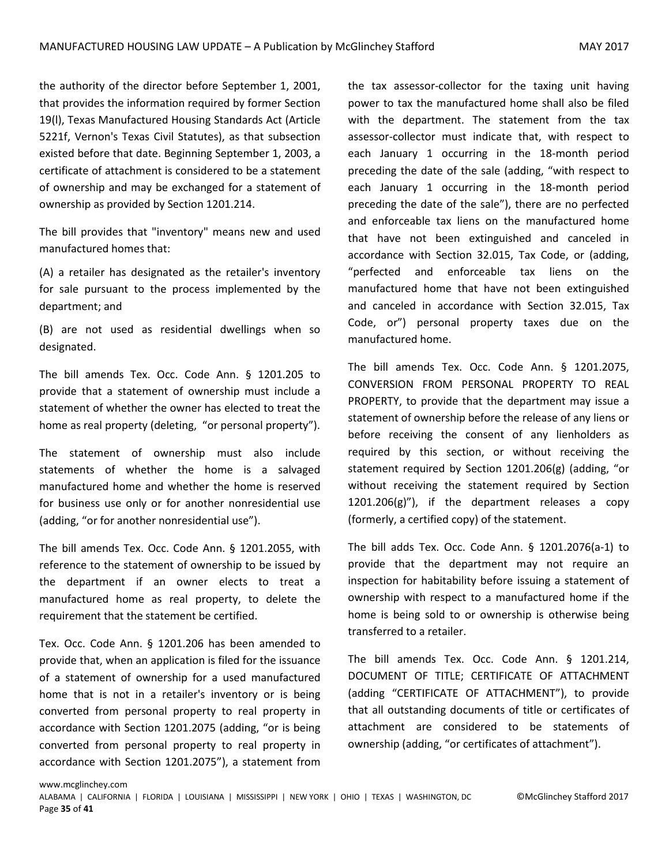the authority of the director before September 1, 2001, that provides the information required by former Section 19(l), Texas Manufactured Housing Standards Act (Article 5221f, Vernon's Texas Civil Statutes), as that subsection existed before that date. Beginning September 1, 2003, a certificate of attachment is considered to be a statement of ownership and may be exchanged for a statement of ownership as provided by Section 1201.214.

The bill provides that "inventory" means new and used manufactured homes that:

(A) a retailer has designated as the retailer's inventory for sale pursuant to the process implemented by the department; and

(B) are not used as residential dwellings when so designated.

The bill amends Tex. Occ. Code Ann. § 1201.205 to provide that a statement of ownership must include a statement of whether the owner has elected to treat the home as real property (deleting, "or personal property").

The statement of ownership must also include statements of whether the home is a salvaged manufactured home and whether the home is reserved for business use only or for another nonresidential use (adding, "or for another nonresidential use").

The bill amends Tex. Occ. Code Ann. § 1201.2055, with reference to the statement of ownership to be issued by the department if an owner elects to treat a manufactured home as real property, to delete the requirement that the statement be certified.

Tex. Occ. Code Ann. § 1201.206 has been amended to provide that, when an application is filed for the issuance of a statement of ownership for a used manufactured home that is not in a retailer's inventory or is being converted from personal property to real property in accordance with Section 1201.2075 (adding, "or is being converted from personal property to real property in accordance with Section 1201.2075"), a statement from

the tax assessor-collector for the taxing unit having power to tax the manufactured home shall also be filed with the department. The statement from the tax assessor-collector must indicate that, with respect to each January 1 occurring in the 18-month period preceding the date of the sale (adding, "with respect to each January 1 occurring in the 18-month period preceding the date of the sale"), there are no perfected and enforceable tax liens on the manufactured home that have not been extinguished and canceled in accordance with Section 32.015, Tax Code, or (adding, "perfected and enforceable tax liens on the manufactured home that have not been extinguished and canceled in accordance with Section 32.015, Tax Code, or") personal property taxes due on the manufactured home.

The bill amends Tex. Occ. Code Ann. § 1201.2075, CONVERSION FROM PERSONAL PROPERTY TO REAL PROPERTY, to provide that the department may issue a statement of ownership before the release of any liens or before receiving the consent of any lienholders as required by this section, or without receiving the statement required by Section 1201.206(g) (adding, "or without receiving the statement required by Section 1201.206(g)"), if the department releases a copy (formerly, a certified copy) of the statement.

The bill adds Tex. Occ. Code Ann. § 1201.2076(a-1) to provide that the department may not require an inspection for habitability before issuing a statement of ownership with respect to a manufactured home if the home is being sold to or ownership is otherwise being transferred to a retailer.

The bill amends Tex. Occ. Code Ann. § 1201.214, DOCUMENT OF TITLE; CERTIFICATE OF ATTACHMENT (adding "CERTIFICATE OF ATTACHMENT"), to provide that all outstanding documents of title or certificates of attachment are considered to be statements of ownership (adding, "or certificates of attachment").

www.mcglinchey.com

ALABAMA | CALIFORNIA | FLORIDA | LOUISIANA | MISSISSIPPI | NEW YORK | OHIO | TEXAS | WASHINGTON, DC ©McGlinchey Stafford 2017 Page **35** of **41**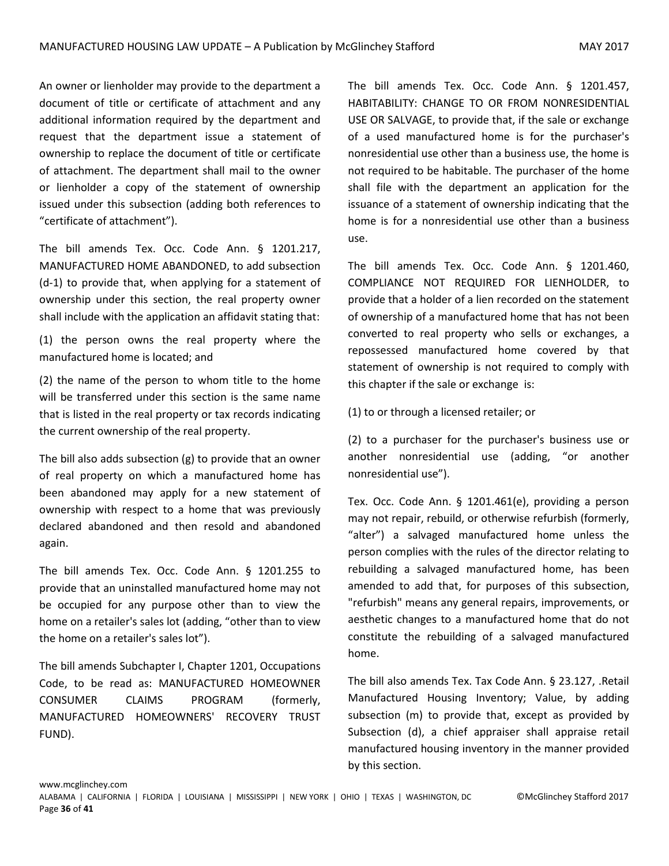An owner or lienholder may provide to the department a document of title or certificate of attachment and any additional information required by the department and request that the department issue a statement of ownership to replace the document of title or certificate of attachment. The department shall mail to the owner or lienholder a copy of the statement of ownership issued under this subsection (adding both references to "certificate of attachment").

The bill amends Tex. Occ. Code Ann. § 1201.217, MANUFACTURED HOME ABANDONED, to add subsection (d-1) to provide that, when applying for a statement of ownership under this section, the real property owner shall include with the application an affidavit stating that:

(1) the person owns the real property where the manufactured home is located; and

(2) the name of the person to whom title to the home will be transferred under this section is the same name that is listed in the real property or tax records indicating the current ownership of the real property.

The bill also adds subsection (g) to provide that an owner of real property on which a manufactured home has been abandoned may apply for a new statement of ownership with respect to a home that was previously declared abandoned and then resold and abandoned again.

The bill amends Tex. Occ. Code Ann. § 1201.255 to provide that an uninstalled manufactured home may not be occupied for any purpose other than to view the home on a retailer's sales lot (adding, "other than to view the home on a retailer's sales lot").

The bill amends Subchapter I, Chapter 1201, Occupations Code, to be read as: MANUFACTURED HOMEOWNER CONSUMER CLAIMS PROGRAM (formerly, MANUFACTURED HOMEOWNERS' RECOVERY TRUST FUND).

The bill amends Tex. Occ. Code Ann. § 1201.457, HABITABILITY: CHANGE TO OR FROM NONRESIDENTIAL USE OR SALVAGE, to provide that, if the sale or exchange of a used manufactured home is for the purchaser's nonresidential use other than a business use, the home is not required to be habitable. The purchaser of the home shall file with the department an application for the issuance of a statement of ownership indicating that the home is for a nonresidential use other than a business use.

The bill amends Tex. Occ. Code Ann. § 1201.460, COMPLIANCE NOT REQUIRED FOR LIENHOLDER, to provide that a holder of a lien recorded on the statement of ownership of a manufactured home that has not been converted to real property who sells or exchanges, a repossessed manufactured home covered by that statement of ownership is not required to comply with this chapter if the sale or exchange is:

(1) to or through a licensed retailer; or

(2) to a purchaser for the purchaser's business use or another nonresidential use (adding, "or another nonresidential use").

Tex. Occ. Code Ann. § 1201.461(e), providing a person may not repair, rebuild, or otherwise refurbish (formerly, "alter") a salvaged manufactured home unless the person complies with the rules of the director relating to rebuilding a salvaged manufactured home, has been amended to add that, for purposes of this subsection, "refurbish" means any general repairs, improvements, or aesthetic changes to a manufactured home that do not constitute the rebuilding of a salvaged manufactured home.

The bill also amends Tex. Tax Code Ann. § 23.127, .Retail Manufactured Housing Inventory; Value, by adding subsection (m) to provide that, except as provided by Subsection (d), a chief appraiser shall appraise retail manufactured housing inventory in the manner provided by this section.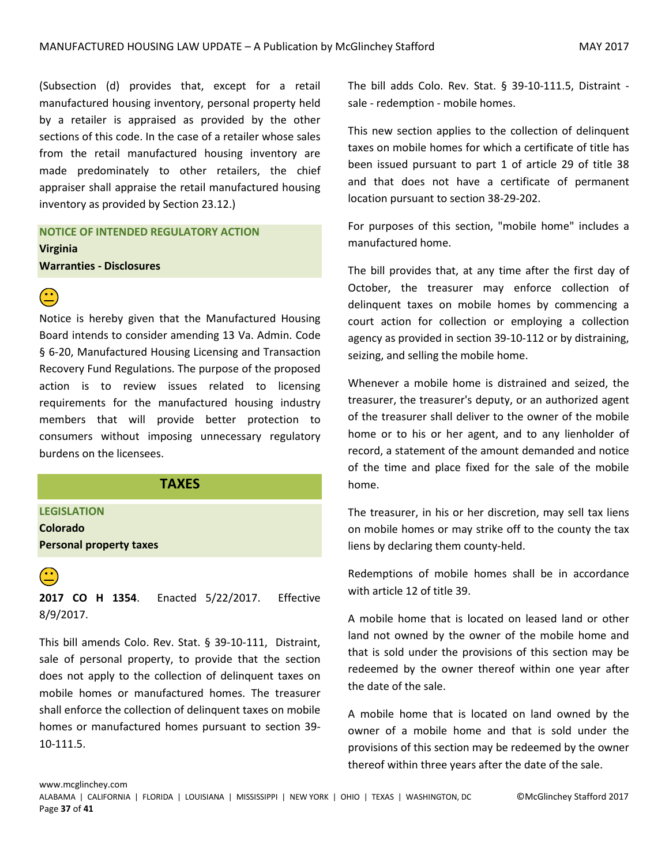(Subsection (d) provides that, except for a retail manufactured housing inventory, personal property held by a retailer is appraised as provided by the other sections of this code. In the case of a retailer whose sales from the retail manufactured housing inventory are made predominately to other retailers, the chief appraiser shall appraise the retail manufactured housing inventory as provided by Section 23.12.)

**NOTICE OF INTENDED REGULATORY ACTION Virginia Warranties - Disclosures**



Notice is hereby given that the Manufactured Housing Board intends to consider amending 13 Va. Admin. Code § 6-20, Manufactured Housing Licensing and Transaction Recovery Fund Regulations. The purpose of the proposed action is to review issues related to licensing requirements for the manufactured housing industry members that will provide better protection to consumers without imposing unnecessary regulatory burdens on the licensees.

#### **TAXES**

<span id="page-36-0"></span>**LEGISLATION**

**Colorado Personal property taxes**

 **2017 CO H 1354**. Enacted 5/22/2017. Effective 8/9/2017.

This bill amends Colo. Rev. Stat. § 39-10-111, Distraint, sale of personal property, to provide that the section does not apply to the collection of delinquent taxes on mobile homes or manufactured homes. The treasurer shall enforce the collection of delinquent taxes on mobile homes or manufactured homes pursuant to section 39- 10-111.5.

The bill adds Colo. Rev. Stat. § 39-10-111.5, Distraint sale - redemption - mobile homes.

This new section applies to the collection of delinquent taxes on mobile homes for which a certificate of title has been issued pursuant to part 1 of article 29 of title 38 and that does not have a certificate of permanent location pursuant to section 38-29-202.

For purposes of this section, "mobile home" includes a manufactured home.

The bill provides that, at any time after the first day of October, the treasurer may enforce collection of delinquent taxes on mobile homes by commencing a court action for collection or employing a collection agency as provided in section 39-10-112 or by distraining, seizing, and selling the mobile home.

Whenever a mobile home is distrained and seized, the treasurer, the treasurer's deputy, or an authorized agent of the treasurer shall deliver to the owner of the mobile home or to his or her agent, and to any lienholder of record, a statement of the amount demanded and notice of the time and place fixed for the sale of the mobile home.

The treasurer, in his or her discretion, may sell tax liens on mobile homes or may strike off to the county the tax liens by declaring them county-held.

Redemptions of mobile homes shall be in accordance with article 12 of title 39.

A mobile home that is located on leased land or other land not owned by the owner of the mobile home and that is sold under the provisions of this section may be redeemed by the owner thereof within one year after the date of the sale.

A mobile home that is located on land owned by the owner of a mobile home and that is sold under the provisions of this section may be redeemed by the owner thereof within three years after the date of the sale.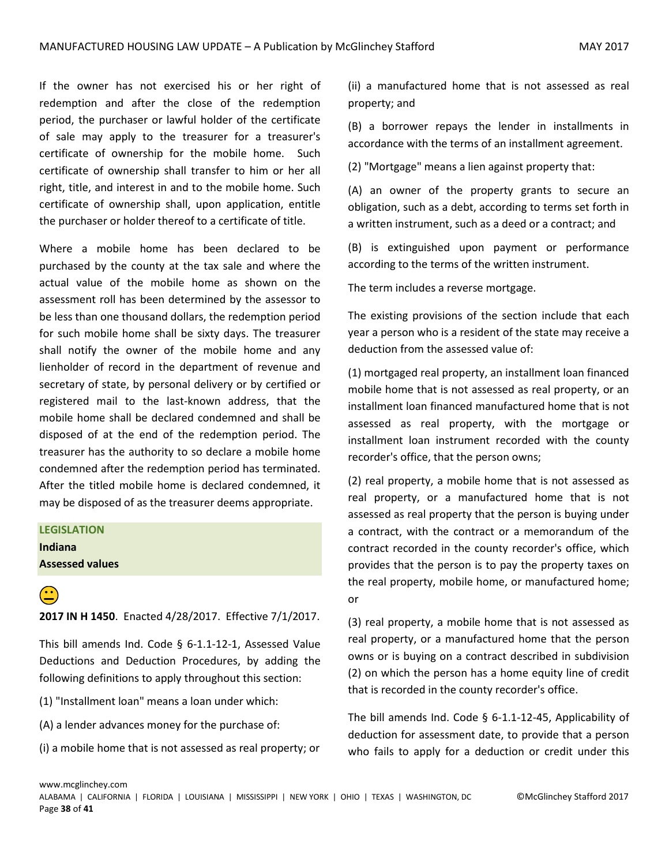If the owner has not exercised his or her right of redemption and after the close of the redemption period, the purchaser or lawful holder of the certificate of sale may apply to the treasurer for a treasurer's certificate of ownership for the mobile home. Such certificate of ownership shall transfer to him or her all right, title, and interest in and to the mobile home. Such certificate of ownership shall, upon application, entitle the purchaser or holder thereof to a certificate of title.

Where a mobile home has been declared to be purchased by the county at the tax sale and where the actual value of the mobile home as shown on the assessment roll has been determined by the assessor to be less than one thousand dollars, the redemption period for such mobile home shall be sixty days. The treasurer shall notify the owner of the mobile home and any lienholder of record in the department of revenue and secretary of state, by personal delivery or by certified or registered mail to the last-known address, that the mobile home shall be declared condemned and shall be disposed of at the end of the redemption period. The treasurer has the authority to so declare a mobile home condemned after the redemption period has terminated. After the titled mobile home is declared condemned, it may be disposed of as the treasurer deems appropriate.

### **LEGISLATION Indiana Assessed values**

 **2017 IN H 1450**. Enacted 4/28/2017. Effective 7/1/2017.

This bill amends Ind. Code § 6-1.1-12-1, Assessed Value Deductions and Deduction Procedures, by adding the following definitions to apply throughout this section:

- (1) "Installment loan" means a loan under which:
- (A) a lender advances money for the purchase of:
- (i) a mobile home that is not assessed as real property; or

(ii) a manufactured home that is not assessed as real property; and

(B) a borrower repays the lender in installments in accordance with the terms of an installment agreement.

(2) "Mortgage" means a lien against property that:

(A) an owner of the property grants to secure an obligation, such as a debt, according to terms set forth in a written instrument, such as a deed or a contract; and

(B) is extinguished upon payment or performance according to the terms of the written instrument.

The term includes a reverse mortgage.

The existing provisions of the section include that each year a person who is a resident of the state may receive a deduction from the assessed value of:

(1) mortgaged real property, an installment loan financed mobile home that is not assessed as real property, or an installment loan financed manufactured home that is not assessed as real property, with the mortgage or installment loan instrument recorded with the county recorder's office, that the person owns;

(2) real property, a mobile home that is not assessed as real property, or a manufactured home that is not assessed as real property that the person is buying under a contract, with the contract or a memorandum of the contract recorded in the county recorder's office, which provides that the person is to pay the property taxes on the real property, mobile home, or manufactured home; or

(3) real property, a mobile home that is not assessed as real property, or a manufactured home that the person owns or is buying on a contract described in subdivision (2) on which the person has a home equity line of credit that is recorded in the county recorder's office.

The bill amends Ind. Code  $\S$  6-1.1-12-45, Applicability of deduction for assessment date, to provide that a person who fails to apply for a deduction or credit under this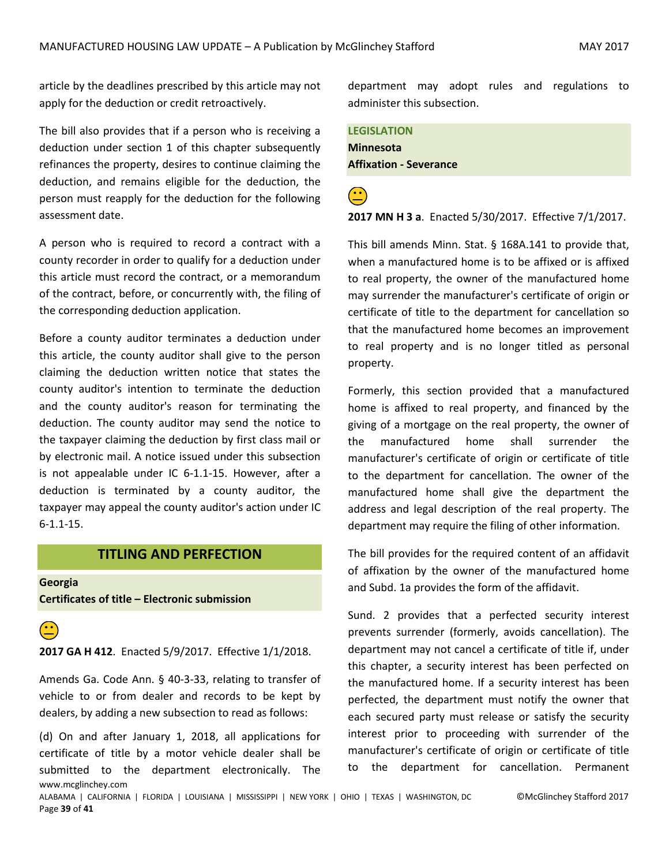article by the deadlines prescribed by this article may not apply for the deduction or credit retroactively.

The bill also provides that if a person who is receiving a deduction under section 1 of this chapter subsequently refinances the property, desires to continue claiming the deduction, and remains eligible for the deduction, the person must reapply for the deduction for the following assessment date.

A person who is required to record a contract with a county recorder in order to qualify for a deduction under this article must record the contract, or a memorandum of the contract, before, or concurrently with, the filing of the corresponding deduction application.

Before a county auditor terminates a deduction under this article, the county auditor shall give to the person claiming the deduction written notice that states the county auditor's intention to terminate the deduction and the county auditor's reason for terminating the deduction. The county auditor may send the notice to the taxpayer claiming the deduction by first class mail or by electronic mail. A notice issued under this subsection is not appealable under IC 6-1.1-15. However, after a deduction is terminated by a county auditor, the taxpayer may appeal the county auditor's action under IC 6-1.1-15.

#### **TITLING AND PERFECTION**

<span id="page-38-0"></span>**Georgia Certificates of title – Electronic submission**

**2017 GA H 412**. Enacted 5/9/2017. Effective 1/1/2018.

Amends Ga. Code Ann. § 40-3-33, relating to transfer of vehicle to or from dealer and records to be kept by dealers, by adding a new subsection to read as follows:

www.mcglinchey.com (d) On and after January 1, 2018, all applications for certificate of title by a motor vehicle dealer shall be submitted to the department electronically. The department may adopt rules and regulations to administer this subsection.

**LEGISLATION Minnesota Affixation - Severance**

**2017 MN H 3 a**. Enacted 5/30/2017. Effective 7/1/2017.

This bill amends Minn. Stat. § 168A.141 to provide that, when a manufactured home is to be affixed or is affixed to real property, the owner of the manufactured home may surrender the manufacturer's certificate of origin or certificate of title to the department for cancellation so that the manufactured home becomes an improvement to real property and is no longer titled as personal property.

Formerly, this section provided that a manufactured home is affixed to real property, and financed by the giving of a mortgage on the real property, the owner of the manufactured home shall surrender the manufacturer's certificate of origin or certificate of title to the department for cancellation. The owner of the manufactured home shall give the department the address and legal description of the real property. The department may require the filing of other information.

The bill provides for the required content of an affidavit of affixation by the owner of the manufactured home and Subd. 1a provides the form of the affidavit.

Sund. 2 provides that a perfected security interest prevents surrender (formerly, avoids cancellation). The department may not cancel a certificate of title if, under this chapter, a security interest has been perfected on the manufactured home. If a security interest has been perfected, the department must notify the owner that each secured party must release or satisfy the security interest prior to proceeding with surrender of the manufacturer's certificate of origin or certificate of title to the department for cancellation. Permanent

ALABAMA | CALIFORNIA | FLORIDA | LOUISIANA | MISSISSIPPI | NEW YORK | OHIO | TEXAS | WASHINGTON, DC ©McGlinchey Stafford 2017 Page **39** of **41**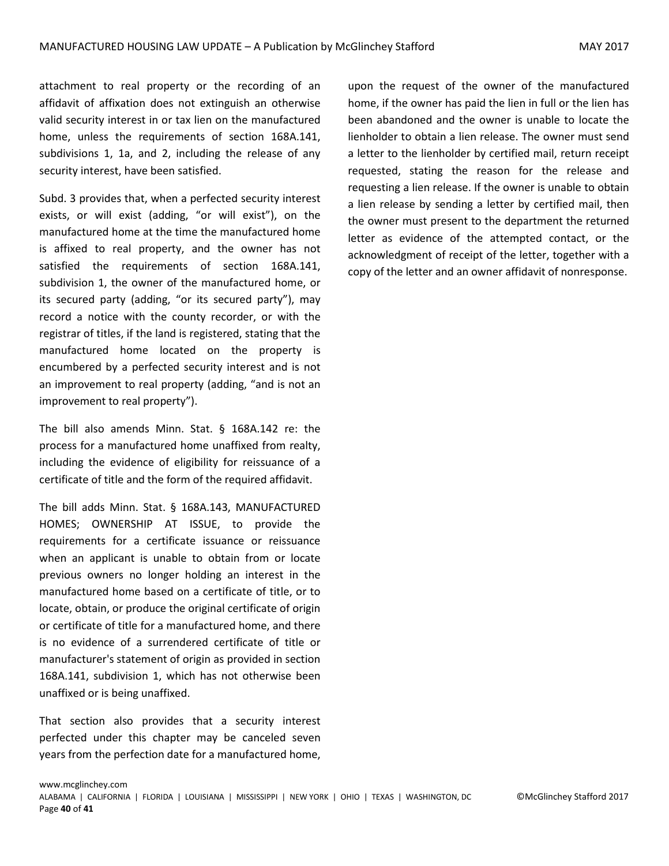attachment to real property or the recording of an affidavit of affixation does not extinguish an otherwise valid security interest in or tax lien on the manufactured home, unless the requirements of section 168A.141, subdivisions 1, 1a, and 2, including the release of any security interest, have been satisfied.

Subd. 3 provides that, when a perfected security interest exists, or will exist (adding, "or will exist"), on the manufactured home at the time the manufactured home is affixed to real property, and the owner has not satisfied the requirements of section 168A.141, subdivision 1, the owner of the manufactured home, or its secured party (adding, "or its secured party"), may record a notice with the county recorder, or with the registrar of titles, if the land is registered, stating that the manufactured home located on the property is encumbered by a perfected security interest and is not an improvement to real property (adding, "and is not an improvement to real property").

The bill also amends Minn. Stat. § 168A.142 re: the process for a manufactured home unaffixed from realty, including the evidence of eligibility for reissuance of a certificate of title and the form of the required affidavit.

The bill adds Minn. Stat. § 168A.143, MANUFACTURED HOMES; OWNERSHIP AT ISSUE, to provide the requirements for a certificate issuance or reissuance when an applicant is unable to obtain from or locate previous owners no longer holding an interest in the manufactured home based on a certificate of title, or to locate, obtain, or produce the original certificate of origin or certificate of title for a manufactured home, and there is no evidence of a surrendered certificate of title or manufacturer's statement of origin as provided in section 168A.141, subdivision 1, which has not otherwise been unaffixed or is being unaffixed.

That section also provides that a security interest perfected under this chapter may be canceled seven years from the perfection date for a manufactured home,

upon the request of the owner of the manufactured home, if the owner has paid the lien in full or the lien has been abandoned and the owner is unable to locate the lienholder to obtain a lien release. The owner must send a letter to the lienholder by certified mail, return receipt requested, stating the reason for the release and requesting a lien release. If the owner is unable to obtain a lien release by sending a letter by certified mail, then the owner must present to the department the returned letter as evidence of the attempted contact, or the acknowledgment of receipt of the letter, together with a copy of the letter and an owner affidavit of nonresponse.

ALABAMA | CALIFORNIA | FLORIDA | LOUISIANA | MISSISSIPPI | NEW YORK | OHIO | TEXAS | WASHINGTON, DC ©McGlinchey Stafford 2017 Page **40** of **41**